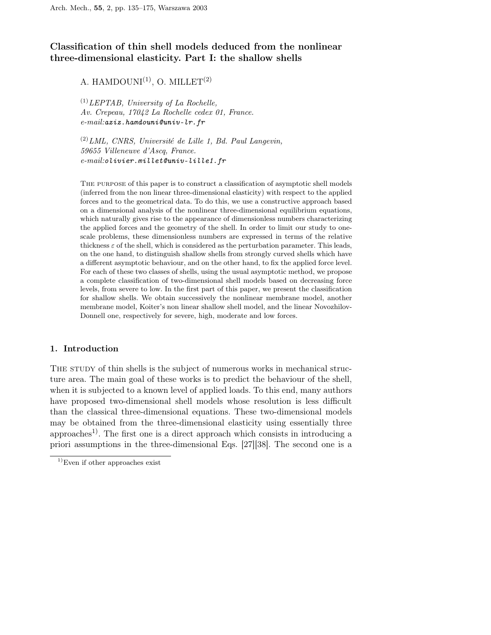# Classification of thin shell models deduced from the nonlinear three-dimensional elasticity. Part I: the shallow shells

# A. HAMDOUNI $^{(1)}$ , O. MILLET $^{(2)}$

 $^{(1)}LEPTAB$ , University of La Rochelle, Av. Crepeau, 17042 La Rochelle cedex 01, France.  $e-mail:$ aziz.hamdouni@univ-lr.fr

 $(2) LML$ , CNRS, Université de Lille 1, Bd. Paul Langevin, 59655 Villeneuve d'Ascq, France. e-mail:olivier.millet@univ-lille1.fr

The purpose of this paper is to construct a classification of asymptotic shell models (inferred from the non linear three-dimensional elasticity) with respect to the applied forces and to the geometrical data. To do this, we use a constructive approach based on a dimensional analysis of the nonlinear three-dimensional equilibrium equations, which naturally gives rise to the appearance of dimensionless numbers characterizing the applied forces and the geometry of the shell. In order to limit our study to onescale problems, these dimensionless numbers are expressed in terms of the relative thickness  $\varepsilon$  of the shell, which is considered as the perturbation parameter. This leads, on the one hand, to distinguish shallow shells from strongly curved shells which have a different asymptotic behaviour, and on the other hand, to fix the applied force level. For each of these two classes of shells, using the usual asymptotic method, we propose a complete classification of two-dimensional shell models based on decreasing force levels, from severe to low. In the first part of this paper, we present the classification for shallow shells. We obtain successively the nonlinear membrane model, another membrane model, Koiter's non linear shallow shell model, and the linear Novozhilov-Donnell one, respectively for severe, high, moderate and low forces.

## 1. Introduction

THE STUDY of thin shells is the subject of numerous works in mechanical structure area. The main goal of these works is to predict the behaviour of the shell, when it is subjected to a known level of applied loads. To this end, many authors have proposed two-dimensional shell models whose resolution is less difficult than the classical three-dimensional equations. These two-dimensional models may be obtained from the three-dimensional elasticity using essentially three approaches<sup>1)</sup>. The first one is a direct approach which consists in introducing a priori assumptions in the three-dimensional Eqs. [27][38]. The second one is a

<sup>&</sup>lt;sup>1)</sup>Even if other approaches exist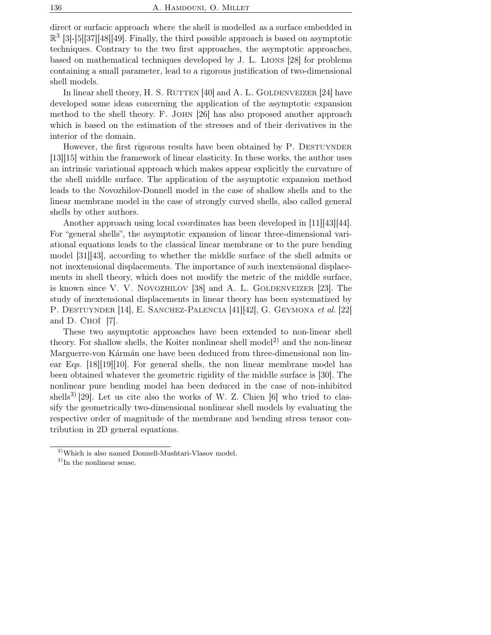direct or surfacic approach where the shell is modelled as a surface embedded in  $\mathbb{R}^3$  [3]-[5][37][48][49]. Finally, the third possible approach is based on asymptotic techniques. Contrary to the two first approaches, the asymptotic approaches, based on mathematical techniques developed by J. L. Lions [28] for problems containing a small parameter, lead to a rigorous justification of two-dimensional shell models.

In linear shell theory, H. S. RUTTEN  $[40]$  and A. L. GOLDENVEIZER  $[24]$  have developed some ideas concerning the application of the asymptotic expansion method to the shell theory. F. John [26] has also proposed another approach which is based on the estimation of the stresses and of their derivatives in the interior of the domain.

However, the first rigorous results have been obtained by P. DESTUYNDER [13][15] within the framework of linear elasticity. In these works, the author uses an intrinsic variational approach which makes appear explicitly the curvature of the shell middle surface. The application of the asymptotic expansion method leads to the Novozhilov-Donnell model in the case of shallow shells and to the linear membrane model in the case of strongly curved shells, also called general shells by other authors.

Another approach using local coordinates has been developed in  $|11||43||44$ . For "general shells", the asymptotic expansion of linear three-dimensional variational equations leads to the classical linear membrane or to the pure bending model [31][43], according to whether the middle surface of the shell admits or not inextensional displacements. The importance of such inextensional displacements in shell theory, which does not modify the metric of the middle surface, is known since V. V. NOVOZHILOV  $[38]$  and A. L. GOLDENVEIZER  $[23]$ . The study of inextensional displacements in linear theory has been systematized by P. DESTUYNDER [14], E. SANCHEZ-PALENCIA [41][42], G. GEYMONA et al. [22] and D. Choï [7].

These two asymptotic approaches have been extended to non-linear shell theory. For shallow shells, the Koiter nonlinear shell model<sup>2)</sup> and the non-linear Marguerre-von Kármán one have been deduced from three-dimensional non linear Eqs. [18][19][10]. For general shells, the non linear membrane model has been obtained whatever the geometric rigidity of the middle surface is [30]. The nonlinear pure bending model has been deduced in the case of non-inhibited shells<sup>3)</sup> [29]. Let us cite also the works of W. Z. Chien [6] who tried to classify the geometrically two-dimensional nonlinear shell models by evaluating the respective order of magnitude of the membrane and bending stress tensor contribution in 2D general equations.

<sup>2)</sup>Which is also named Donnell-Mushtari-Vlasov model.

<sup>&</sup>lt;sup>3)</sup>In the nonlinear sense.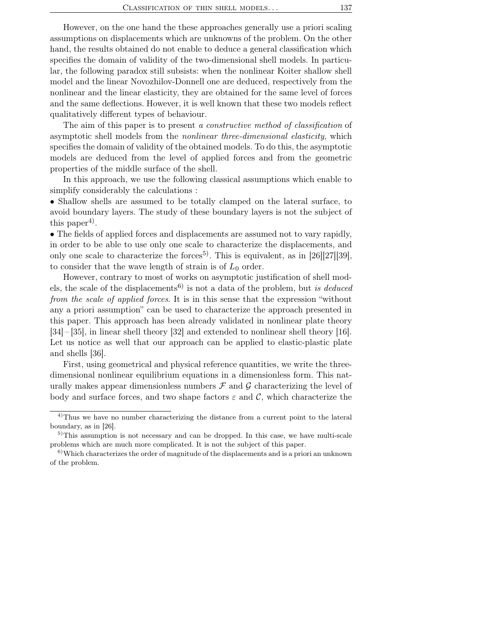However, on the one hand the these approaches generally use a priori scaling assumptions on displacements which are unknowns of the problem. On the other hand, the results obtained do not enable to deduce a general classification which specifies the domain of validity of the two-dimensional shell models. In particular, the following paradox still subsists: when the nonlinear Koiter shallow shell model and the linear Novozhilov-Donnell one are deduced, respectively from the nonlinear and the linear elasticity, they are obtained for the same level of forces and the same deflections. However, it is well known that these two models reflect qualitatively different types of behaviour.

The aim of this paper is to present a *constructive method of classification* of asymptotic shell models from the nonlinear three-dimensional elasticity, which specifies the domain of validity of the obtained models. To do this, the asymptotic models are deduced from the level of applied forces and from the geometric properties of the middle surface of the shell.

In this approach, we use the following classical assumptions which enable to simplify considerably the calculations :

• Shallow shells are assumed to be totally clamped on the lateral surface, to avoid boundary layers. The study of these boundary layers is not the subject of this paper<sup>4</sup>).

• The fields of applied forces and displacements are assumed not to vary rapidly, in order to be able to use only one scale to characterize the displacements, and only one scale to characterize the forces<sup>5)</sup>. This is equivalent, as in  $[26][27][39]$ , to consider that the wave length of strain is of  $L_0$  order.

However, contrary to most of works on asymptotic justification of shell models, the scale of the displacements<sup>6)</sup> is not a data of the problem, but is deduced from the scale of applied forces. It is in this sense that the expression "without any a priori assumption" can be used to characterize the approach presented in this paper. This approach has been already validated in nonlinear plate theory [34] – [35], in linear shell theory [32] and extended to nonlinear shell theory [16]. Let us notice as well that our approach can be applied to elastic-plastic plate and shells [36].

First, using geometrical and physical reference quantities, we write the threedimensional nonlinear equilibrium equations in a dimensionless form. This naturally makes appear dimensionless numbers  $\mathcal F$  and  $\mathcal G$  characterizing the level of body and surface forces, and two shape factors  $\varepsilon$  and  $\mathcal{C}$ , which characterize the

<sup>&</sup>lt;sup>4)</sup>Thus we have no number characterizing the distance from a current point to the lateral boundary, as in [26].

 $5$ This assumption is not necessary and can be dropped. In this case, we have multi-scale problems which are much more complicated. It is not the subject of this paper.

 $6)$ Which characterizes the order of magnitude of the displacements and is a priori an unknown of the problem.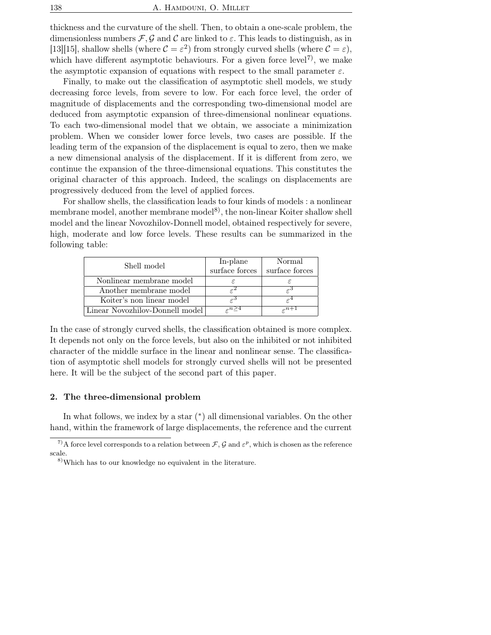thickness and the curvature of the shell. Then, to obtain a one-scale problem, the dimensionless numbers  $\mathcal{F}, \mathcal{G}$  and  $\mathcal{C}$  are linked to  $\varepsilon$ . This leads to distinguish, as in [13][15], shallow shells (where  $\mathcal{C} = \varepsilon^2$ ) from strongly curved shells (where  $\mathcal{C} = \varepsilon$ ), which have different asymptotic behaviours. For a given force level<sup>7</sup>, we make the asymptotic expansion of equations with respect to the small parameter  $\varepsilon$ .

Finally, to make out the classification of asymptotic shell models, we study decreasing force levels, from severe to low. For each force level, the order of magnitude of displacements and the corresponding two-dimensional model are deduced from asymptotic expansion of three-dimensional nonlinear equations. To each two-dimensional model that we obtain, we associate a minimization problem. When we consider lower force levels, two cases are possible. If the leading term of the expansion of the displacement is equal to zero, then we make a new dimensional analysis of the displacement. If it is different from zero, we continue the expansion of the three-dimensional equations. This constitutes the original character of this approach. Indeed, the scalings on displacements are progressively deduced from the level of applied forces.

For shallow shells, the classification leads to four kinds of models : a nonlinear membrane model, another membrane model<sup>8)</sup>, the non-linear Koiter shallow shell model and the linear Novozhilov-Donnell model, obtained respectively for severe, high, moderate and low force levels. These results can be summarized in the following table:

| Shell model                     | In-plane<br>surface forces | Normal<br>surface forces |
|---------------------------------|----------------------------|--------------------------|
| Nonlinear membrane model        |                            |                          |
| Another membrane model          |                            |                          |
| Koiter's non linear model       | ں ہے                       |                          |
| Linear Novozhilov-Donnell model |                            |                          |

In the case of strongly curved shells, the classification obtained is more complex. It depends not only on the force levels, but also on the inhibited or not inhibited character of the middle surface in the linear and nonlinear sense. The classification of asymptotic shell models for strongly curved shells will not be presented here. It will be the subject of the second part of this paper.

## 2. The three-dimensional problem

In what follows, we index by a star  $(*)$  all dimensional variables. On the other hand, within the framework of large displacements, the reference and the current

<sup>&</sup>lt;sup>7</sup>)A force level corresponds to a relation between  $\mathcal{F}, \mathcal{G}$  and  $\varepsilon^p$ , which is chosen as the reference scale.

<sup>8)</sup>Which has to our knowledge no equivalent in the literature.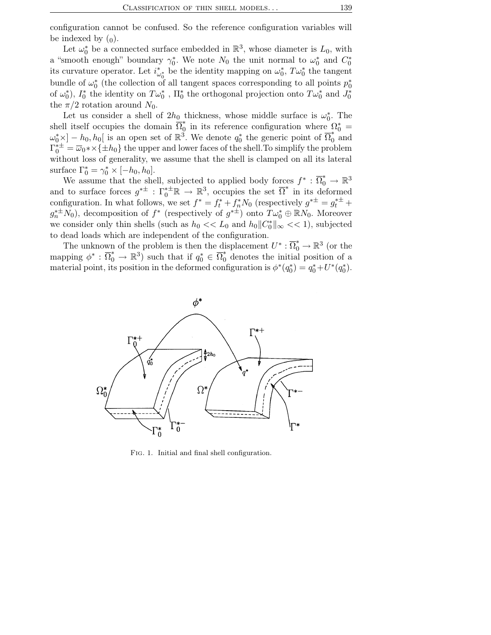configuration cannot be confused. So the reference configuration variables will be indexed by  $(0)$ .

Let  $\omega_0^*$  be a connected surface embedded in  $\mathbb{R}^3$ , whose diameter is  $L_0$ , with a "smooth enough" boundary  $\gamma_0^*$ . We note  $N_0$  the unit normal to  $\omega_0^*$  and  $C_0^*$ its curvature operator. Let  $i^*_{\omega_0^*}$  be the identity mapping on  $\omega_0^*$ ,  $T\omega_0^*$  the tangent bundle of  $\omega_0^*$  (the collection of all tangent spaces corresponding to all points  $p_0^*$ of  $\omega_0^*$ ),  $I_0^*$  the identity on  $T\omega_0^*$ ,  $\Pi_0^*$  the orthogonal projection onto  $T\omega_0^*$  and  $J_0^*$ the  $\pi/2$  rotation around  $N_0$ .

Let us consider a shell of  $2h_0$  thickness, whose middle surface is  $\omega_0^*$ . The shell itself occupies the domain  $\overline{\Omega}_0^*$ <sup>\*</sup><sub>0</sub> in its reference configuration where  $\Omega_0^*$  =  $\omega_0^* \times ] - h_0, h_0[$  is an open set of  $\mathbb{R}^3$ . We denote  $q_0^*$  the generic point of  $\overline{\Omega}_0^*$  and  $\Gamma_0^{* \pm} = \overline{\omega}_0 * \times {\{\pm h_0\}}$  the upper and lower faces of the shell. To simplify the problem without loss of generality, we assume that the shell is clamped on all its lateral surface  $\Gamma_0^* = \gamma_0^* \times [-h_0, h_0].$ 

We assume that the shell, subjected to applied body forces  $f^* : \overline{\Omega}_0^* \to \mathbb{R}^3$ and to surface forces  $g^{*\pm}$ :  $\Gamma_0^{*\pm} \mathbb{R} \to \mathbb{R}^3$ , occupies the set  $\overline{\Omega}^*$  in its deformed configuration. In what follows, we set  $f^* = f_t^* + f_n^* N_0$  (respectively  $g^{*\pm} = g_t^{*\pm} +$  $g_n^{*\pm}N_0$ ), decomposition of  $f^*$  (respectively of  $g^{*\pm}$ ) onto  $T\omega_0^*\oplus \mathbb{R}N_0$ . Moreover we consider only thin shells (such as  $h_0 \ll L_0$  and  $h_0 || C_0^* ||_{\infty} \ll 1$ ), subjected to dead loads which are independent of the configuration.

The unknown of the problem is then the displacement  $U^* : \overline{\Omega}_0^* \to \mathbb{R}^3$  (or the mapping  $\phi^* : \overline{\Omega}_0^* \to \mathbb{R}^3$  such that if  $q_0^* \in \overline{\Omega}_0^*$  denotes the initial position of a material point, its position in the deformed configuration is  $\phi^*(q_0^*) = q_0^* + U^*(q_0^*)$ .



Fig. 1. Initial and final shell configuration.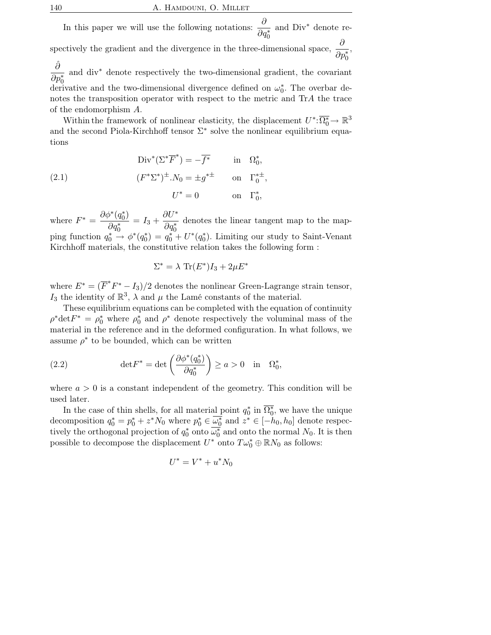In this paper we will use the following notations:  $\frac{\partial}{\partial x}$  $\overline{\partial q_0^*}$ and Div<sup>∗</sup> denote respectively the gradient and the divergence in the three-dimensional space,  $\frac{\partial}{\partial \theta}$  $\frac{\delta}{\partial p_0^*},$  $\hat{\partial}$  is the set of the set of the set of the set of the set of the set of the set of the set of the set of the set of the set of the set of the set of the set of the set of the set of the set of the set of the set of t  $\overline{\partial p_0^*}$ and div<sup>∗</sup> denote respectively the two-dimensional gradient, the covariant

derivative and the two-dimensional divergence defined on  $\omega_0^*$ . The overbar denotes the transposition operator with respect to the metric and TrA the trace of the endomorphism A.

Within the framework of nonlinear elasticity, the displacement  $U^*:\overline{\Omega_0^*} \to \mathbb{R}^3$ and the second Piola-Kirchhoff tensor  $\Sigma^*$  solve the nonlinear equilibrium equations

(2.1) 
$$
\text{Div}^*(\Sigma^* \overline{F}^*) = -\overline{f^*} \quad \text{in} \quad \Omega_0^*, (F^* \Sigma^*)^{\pm} . N_0 = \pm g^{*\pm} \quad \text{on} \quad \Gamma_0^{*\pm}, U^* = 0 \quad \text{on} \quad \Gamma_0^*,
$$

where  $F^* = \frac{\partial \phi^*(q_0^*)}{\partial x}$  $\overline{\partial q_0^*}$  $= I_3 + \frac{\partial U^*}{\partial x^*}$  $\overline{\partial q_0^*}$ denotes the linear tangent map to the mapping function  $q_0^* \stackrel{\sim}{\rightarrow} \phi^*(q_0^*) = q_0^* + U^*(q_0^*)$ . Limiting our study to Saint-Venant Kirchhoff materials, the constitutive relation takes the following form :

$$
\Sigma^* = \lambda \operatorname{Tr}(E^*)I_3 + 2\mu E^*
$$

where  $E^* = (\overline{F}^*F^* - I_3)/2$  denotes the nonlinear Green-Lagrange strain tensor,  $I_3$  the identity of  $\mathbb{R}^3$ ,  $\lambda$  and  $\mu$  the Lamé constants of the material.

These equilibrium equations can be completed with the equation of continuity  $\rho^* \text{det} F^* = \rho_0^*$  where  $\rho_0^*$  and  $\rho^*$  denote respectively the voluminal mass of the material in the reference and in the deformed configuration. In what follows, we assume  $\rho^*$  to be bounded, which can be written

(2.2) 
$$
\det F^* = \det \left( \frac{\partial \phi^*(q_0^*)}{\partial q_0^*} \right) \ge a > 0 \quad \text{in} \quad \Omega_0^*,
$$

where  $a > 0$  is a constant independent of the geometry. This condition will be used later.

In the case of thin shells, for all material point  $q_0^*$  in  $\overline{\Omega_0^*}$ , we have the unique decomposition  $q_0^* = p_0^* + z^* N_0$  where  $p_0^* \in \overline{\omega_0^*}$  and  $z^* \in [-h_0, h_0]$  denote respectively the orthogonal projection of  $q_0^*$  onto  $\overline{\omega_0^*}$  and onto the normal  $N_0$ . It is then possible to decompose the displacement  $U^*$  onto  $T\omega_0^* \oplus \mathbb{R}N_0$  as follows:

$$
U^* = V^* + u^* N_0
$$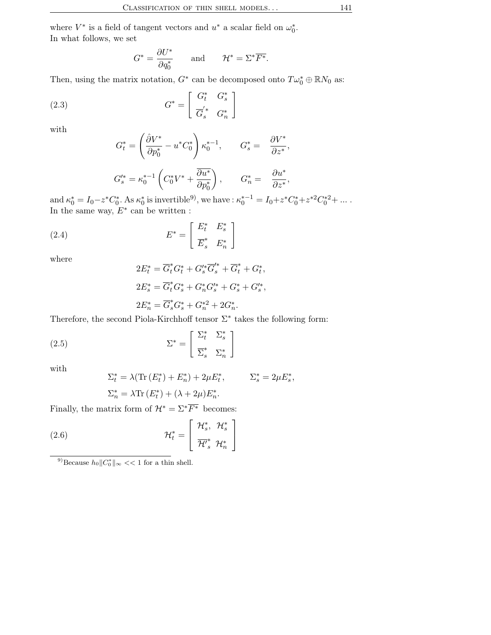where  $V^*$  is a field of tangent vectors and  $u^*$  a scalar field on  $\omega_0^*$ . In what follows, we set

$$
G^* = \frac{\partial U^*}{\partial q_0^*} \quad \text{and} \quad \mathcal{H}^* = \Sigma^* \overline{F^*}.
$$

Then, using the matrix notation,  $G^*$  can be decomposed onto  $T\omega_0^* \oplus \mathbb{R}N_0$  as:

(2.3) 
$$
G^* = \begin{bmatrix} G_t^* & G_s^* \\ \overline{G}_s' & G_n^* \end{bmatrix}
$$

with

$$
\begin{aligned} G_t^* &= \left( \frac{\hat{\partial} V^*}{\partial p_0^*} - u^* C_0^* \right) \kappa_0^{*-1}, \qquad G_s^* = \frac{\partial V^*}{\partial z^*}, \\ G_s'^* &= \kappa_0^{*-1} \left( C_0^* V^* + \frac{\overline{\partial u^*}}{\partial p_0^*} \right), \qquad G_n^* = \frac{\partial u^*}{\partial z^*}, \end{aligned}
$$

and  $\kappa_0^* = I_0 - z^* C_0^*$ . As  $\kappa_0^*$  is invertible<sup>9)</sup>, we have :  $\kappa_0^{*-1} = I_0 + z^* C_0^* + z^{*2} C_0^{*2} + \dots$ . In the same way,  $E^*$  can be written :

(2.4) 
$$
E^* = \begin{bmatrix} E_t^* & E_s^* \\ \overline{E}_s^* & E_n^* \end{bmatrix}
$$

where

$$
2E_t^* = \overline{G}_t^* G_t^* + G_s'^* \overline{G}_s'^* + \overline{G}_t^* + G_t^*,
$$
  
\n
$$
2E_s^* = \overline{G}_t^* G_s^* + G_n^* G_s'^* + G_s^* + G_s'^*,
$$
  
\n
$$
2E_n^* = \overline{G}_s^* G_s^* + G_n'^* + 2G_n^*.
$$

Therefore, the second Piola-Kirchhoff tensor  $\Sigma^*$  takes the following form:

(2.5) 
$$
\Sigma^* = \begin{bmatrix} \Sigma_t^* & \Sigma_s^* \\ \overline{\Sigma}_s^* & \Sigma_n^* \end{bmatrix}
$$

with

$$
\Sigma_t^* = \lambda(\text{Tr}(E_t^*) + E_n^*) + 2\mu E_t^*, \qquad \Sigma_s^* = 2\mu E_s^*,
$$
  

$$
\Sigma_n^* = \lambda \text{Tr}(E_t^*) + (\lambda + 2\mu)E_n^*.
$$

Finally, the matrix form of  $\mathcal{H}^* = \Sigma^* \overline{F^*}$  becomes:

(2.6) 
$$
\mathcal{H}_t^* = \begin{bmatrix} \mathcal{H}_s^*, & \mathcal{H}_s^* \\ \overline{\mathcal{H}'}_s^* & \mathcal{H}_n^* \end{bmatrix}
$$

<sup>9)</sup>Because  $h_0||C_0^*||_{\infty} << 1$  for a thin shell.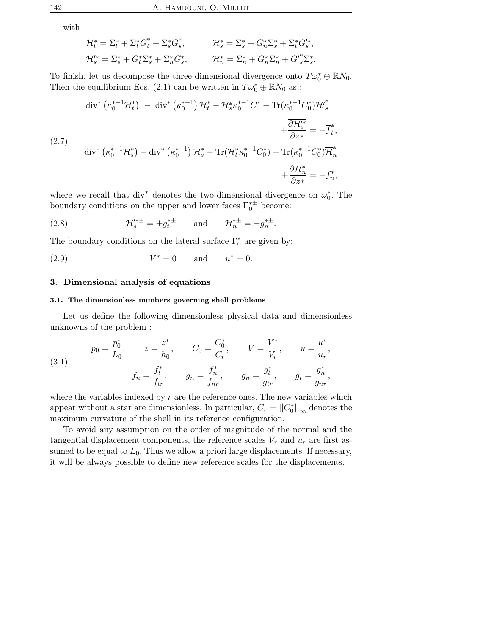with

$$
\mathcal{H}_t^* = \Sigma_t^* + \Sigma_t^* \overline{G}_t^* + \Sigma_s^* \overline{G}_s^*, \qquad \mathcal{H}_s^* = \Sigma_s^* + G_n^* \Sigma_s^* + \Sigma_t^* G_s'^*,
$$
  

$$
\mathcal{H}_s'^* = \Sigma_s^* + G_t^* \Sigma_s^* + \Sigma_n^* G_s^*, \qquad \mathcal{H}_n^* = \Sigma_n^* + G_n^* \Sigma_n^* + \overline{G_s'}^* \Sigma_s^*.
$$

To finish, let us decompose the three-dimensional divergence onto  $T\omega_0^* \oplus \mathbb{R}N_0$ . Then the equilibrium Eqs. (2.1) can be written in  $T\omega_0^* \oplus \mathbb{R}N_0$  as :

$$
\operatorname{div}^* \left( \kappa_0^{*-1} \mathcal{H}_t^* \right) - \operatorname{div}^* \left( \kappa_0^{*-1} \right) \mathcal{H}_t^* - \overline{\mathcal{H}}_s^* \kappa_0^{*-1} C_0^* - \operatorname{Tr}(\kappa_0^{*-1} C_0^*) \overline{\mathcal{H}}_s^* + \frac{\partial \mathcal{H}_s^*}{\partial z^*} = -\overline{f}_t^*,
$$
\n
$$
\operatorname{div}^* \left( \kappa_0^{*-1} \mathcal{H}_s^* \right) - \operatorname{div}^* \left( \kappa_0^{*-1} \right) \mathcal{H}_s^* + \operatorname{Tr}(\mathcal{H}_t^* \kappa_0^{*-1} C_0^*) - \operatorname{Tr}(\kappa_0^{*-1} C_0^*) \overline{\mathcal{H}}_n^* + \frac{\partial \mathcal{H}_n^*}{\partial z^*} = -f_n^*,
$$

where we recall that div<sup>\*</sup> denotes the two-dimensional divergence on  $\omega_0^*$ . The boundary conditions on the upper and lower faces  $\Gamma_0^{*\pm}$  $_0^{**}$  become:

(2.8) 
$$
\mathcal{H}'^{*\pm}_s = \pm g_t^{*\pm}
$$
 and  $\mathcal{H}^{*\pm}_n = \pm g_n^{*\pm}$ .

The boundary conditions on the lateral surface  $\Gamma_0^*$  are given by:

(2.9) 
$$
V^* = 0
$$
 and  $u^* = 0$ .

## 3. Dimensional analysis of equations

### 3.1. The dimensionless numbers governing shell problems

Let us define the following dimensionless physical data and dimensionless unknowns of the problem :

(3.1) 
$$
p_0 = \frac{p_0^*}{L_0}, \qquad z = \frac{z^*}{h_0}, \qquad C_0 = \frac{C_0^*}{C_r}, \qquad V = \frac{V^*}{V_r}, \qquad u = \frac{u^*}{u_r},
$$

$$
f_n = \frac{f_t^*}{f_{tr}}, \qquad g_n = \frac{f_n^*}{f_{nr}}, \qquad g_n = \frac{g_t^*}{g_{tr}}, \qquad g_t = \frac{g_n^*}{g_{nr}},
$$

where the variables indexed by  $r$  are the reference ones. The new variables which appear without a star are dimensionless. In particular,  $C_r = ||C_0^*||_{\infty}$  denotes the maximum curvature of the shell in its reference configuration.

To avoid any assumption on the order of magnitude of the normal and the tangential displacement components, the reference scales  $V_r$  and  $u_r$  are first assumed to be equal to  $L_0$ . Thus we allow a priori large displacements. If necessary, it will be always possible to define new reference scales for the displacements.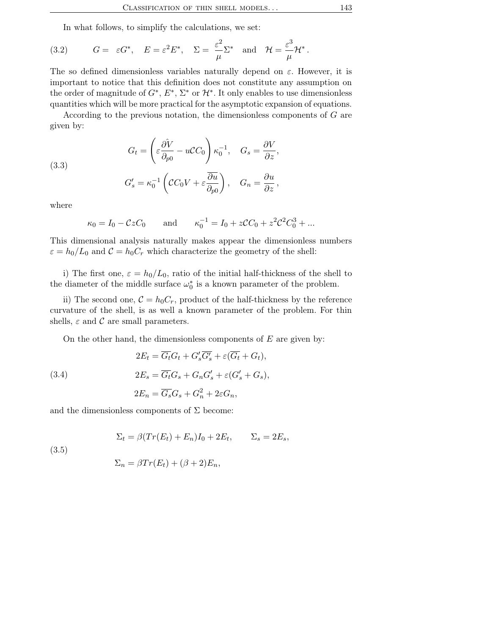In what follows, to simplify the calculations, we set:

(3.2) 
$$
G = \varepsilon G^*, \quad E = \varepsilon^2 E^*, \quad \Sigma = \frac{\varepsilon^2}{\mu} \Sigma^* \quad \text{and} \quad \mathcal{H} = \frac{\varepsilon^3}{\mu} \mathcal{H}^*.
$$

The so defined dimensionless variables naturally depend on  $\varepsilon$ . However, it is important to notice that this definition does not constitute any assumption on the order of magnitude of  $G^*, E^*, \Sigma^*$  or  $\mathcal{H}^*$ . It only enables to use dimensionless quantities which will be more practical for the asymptotic expansion of equations.

According to the previous notation, the dimensionless components of G are given by:

(3.3)  

$$
G_t = \left(\varepsilon \frac{\partial V}{\partial p_0} - u C C_0\right) \kappa_0^{-1}, \quad G_s = \frac{\partial V}{\partial z},
$$

$$
G_s' = \kappa_0^{-1} \left( C C_0 V + \varepsilon \frac{\partial u}{\partial p_0} \right), \quad G_n = \frac{\partial u}{\partial z},
$$

where

$$
\kappa_0 = I_0 - CzC_0
$$
 and  $\kappa_0^{-1} = I_0 + zCC_0 + z^2C_0^2 + ...$ 

This dimensional analysis naturally makes appear the dimensionless numbers  $\varepsilon = h_0/L_0$  and  $C = h_0 C_r$  which characterize the geometry of the shell:

i) The first one,  $\varepsilon = h_0/L_0$ , ratio of the initial half-thickness of the shell to the diameter of the middle surface  $\omega_0^*$  is a known parameter of the problem.

ii) The second one,  $C = h_0 C_r$ , product of the half-thickness by the reference curvature of the shell, is as well a known parameter of the problem. For thin shells,  $\varepsilon$  and  $\mathcal C$  are small parameters.

On the other hand, the dimensionless components of  $E$  are given by:

(3.4)  
\n
$$
2E_t = \overline{G_t}G_t + G'_s \overline{G'_s} + \varepsilon (\overline{G_t} + G_t),
$$
\n
$$
2E_s = \overline{G_t}G_s + G_n G'_s + \varepsilon (G'_s + G_s),
$$
\n
$$
2E_n = \overline{G_s}G_s + G_n^2 + 2\varepsilon G_n,
$$

and the dimensionless components of  $\Sigma$  become:

$$
\Sigma_t = \beta (Tr(E_t) + E_n)I_0 + 2E_t, \qquad \Sigma_s = 2E_s,
$$

(3.5)

$$
\Sigma_n = \beta Tr(E_t) + (\beta + 2)E_n,
$$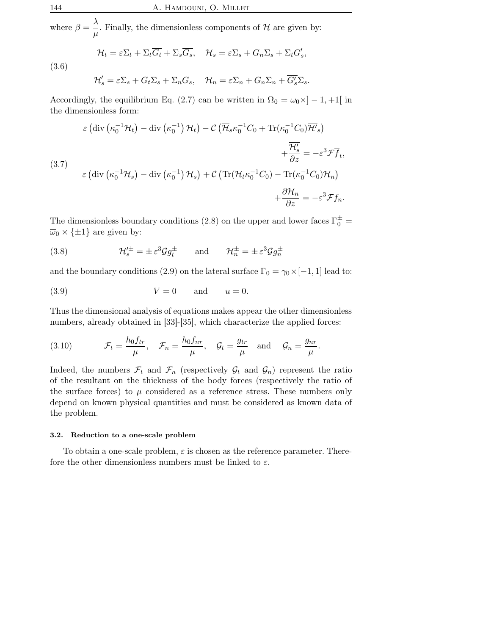where  $\beta = \frac{\lambda}{\sqrt{\lambda}}$  $\frac{\gamma}{\mu}$ . Finally, the dimensionless components of H are given by:

$$
\mathcal{H}_t = \varepsilon \Sigma_t + \Sigma_t \overline{G_t} + \Sigma_s \overline{G_s}, \quad \mathcal{H}_s = \varepsilon \Sigma_s + G_n \Sigma_s + \Sigma_t G'_s,
$$

$$
(3.6)
$$

 $($ 

$$
\mathcal{H}'_s = \varepsilon \Sigma_s + G_t \Sigma_s + \Sigma_n G_s, \quad \mathcal{H}_n = \varepsilon \Sigma_n + G_n \Sigma_n + \overline{G'_s} \Sigma_s.
$$

Accordingly, the equilibrium Eq. (2.7) can be written in  $\Omega_0 = \omega_0 \times ]-1, +1[$  in the dimensionless form:

$$
\varepsilon \left( \text{div} \left( \kappa_0^{-1} \mathcal{H}_t \right) - \text{div} \left( \kappa_0^{-1} \right) \mathcal{H}_t \right) - \mathcal{C} \left( \overline{\mathcal{H}}_s \kappa_0^{-1} C_0 + \text{Tr}(\kappa_0^{-1} C_0) \overline{\mathcal{H}}_s \right) + \frac{\overline{\mathcal{H}}'_s}{\partial z} = -\varepsilon^3 \mathcal{F} \overline{f}_t,
$$
  
3.7)  

$$
\varepsilon \left( \text{div} \left( \kappa_0^{-1} \mathcal{H}_s \right) - \text{div} \left( \kappa_0^{-1} \right) \mathcal{H}_s \right) + \mathcal{C} \left( \text{Tr} (\mathcal{H}_t \kappa_0^{-1} C_0) - \text{Tr}(\kappa_0^{-1} C_0) \mathcal{H}_n \right) + \frac{\partial \mathcal{H}_n}{\partial z} = -\varepsilon^3 \mathcal{F} f_n.
$$

The dimensionless boundary conditions (2.8) on the upper and lower faces  $\Gamma_0^{\pm}$  =  $\overline{\omega}_0 \times {\{\pm 1\}}$  are given by:

(3.8) 
$$
\mathcal{H}'^{\pm}_{s} = \pm \varepsilon^{3} \mathcal{G} g_{t}^{\pm} \quad \text{and} \quad \mathcal{H}^{\pm}_{n} = \pm \varepsilon^{3} \mathcal{G} g_{n}^{\pm}
$$

and the boundary conditions (2.9) on the lateral surface  $\Gamma_0 = \gamma_0 \times [-1, 1]$  lead to:

$$
(3.9) \t\t V = 0 \t and \t u = 0.
$$

Thus the dimensional analysis of equations makes appear the other dimensionless numbers, already obtained in [33]-[35], which characterize the applied forces:

(3.10) 
$$
\mathcal{F}_t = \frac{h_0 f_{tr}}{\mu}, \quad \mathcal{F}_n = \frac{h_0 f_{nr}}{\mu}, \quad \mathcal{G}_t = \frac{g_{tr}}{\mu} \quad \text{and} \quad \mathcal{G}_n = \frac{g_{nr}}{\mu}.
$$

Indeed, the numbers  $\mathcal{F}_t$  and  $\mathcal{F}_n$  (respectively  $\mathcal{G}_t$  and  $\mathcal{G}_n$ ) represent the ratio of the resultant on the thickness of the body forces (respectively the ratio of the surface forces) to  $\mu$  considered as a reference stress. These numbers only depend on known physical quantities and must be considered as known data of the problem.

#### 3.2. Reduction to a one-scale problem

To obtain a one-scale problem,  $\varepsilon$  is chosen as the reference parameter. Therefore the other dimensionless numbers must be linked to  $\varepsilon$ .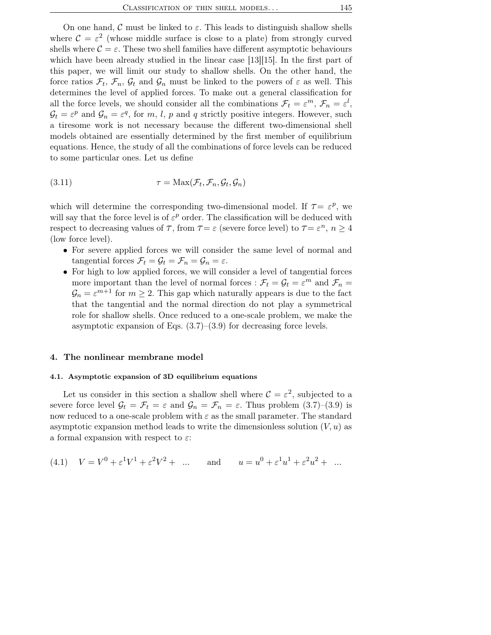On one hand, C must be linked to  $\varepsilon$ . This leads to distinguish shallow shells where  $C = \varepsilon^2$  (whose middle surface is close to a plate) from strongly curved shells where  $\mathcal{C} = \varepsilon$ . These two shell families have different asymptotic behaviours which have been already studied in the linear case [13][15]. In the first part of this paper, we will limit our study to shallow shells. On the other hand, the force ratios  $\mathcal{F}_t$ ,  $\mathcal{F}_n$ ,  $\mathcal{G}_t$  and  $\mathcal{G}_n$  must be linked to the powers of  $\varepsilon$  as well. This determines the level of applied forces. To make out a general classification for all the force levels, we should consider all the combinations  $\mathcal{F}_t = \varepsilon^m$ ,  $\mathcal{F}_n = \varepsilon^l$ ,  $\mathcal{G}_t = \varepsilon^p$  and  $\mathcal{G}_n = \varepsilon^q$ , for m, l, p and q strictly positive integers. However, such a tiresome work is not necessary because the different two-dimensional shell models obtained are essentially determined by the first member of equilibrium equations. Hence, the study of all the combinations of force levels can be reduced to some particular ones. Let us define

(3.11) 
$$
\tau = \text{Max}(\mathcal{F}_t, \mathcal{F}_n, \mathcal{G}_t, \mathcal{G}_n)
$$

which will determine the corresponding two-dimensional model. If  $\tau = \varepsilon^p$ , we will say that the force level is of  $\varepsilon^p$  order. The classification will be deduced with respect to decreasing values of  $\tau$ , from  $\tau = \varepsilon$  (severe force level) to  $\tau = \varepsilon^n$ ,  $n \ge 4$ (low force level).

- For severe applied forces we will consider the same level of normal and tangential forces  $\mathcal{F}_t = \mathcal{G}_t = \mathcal{F}_n = \mathcal{G}_n = \varepsilon$ .
- For high to low applied forces, we will consider a level of tangential forces more important than the level of normal forces :  $\mathcal{F}_t = \mathcal{G}_t = \varepsilon^m$  and  $\mathcal{F}_n =$  $\mathcal{G}_n = \varepsilon^{m+1}$  for  $m \geq 2$ . This gap which naturally appears is due to the fact that the tangential and the normal direction do not play a symmetrical role for shallow shells. Once reduced to a one-scale problem, we make the asymptotic expansion of Eqs. (3.7)–(3.9) for decreasing force levels.

### 4. The nonlinear membrane model

### 4.1. Asymptotic expansion of 3D equilibrium equations

Let us consider in this section a shallow shell where  $\mathcal{C} = \varepsilon^2$ , subjected to a severe force level  $\mathcal{G}_t = \mathcal{F}_t = \varepsilon$  and  $\mathcal{G}_n = \mathcal{F}_n = \varepsilon$ . Thus problem  $(3.7)-(3.9)$  is now reduced to a one-scale problem with  $\varepsilon$  as the small parameter. The standard asymptotic expansion method leads to write the dimensionless solution  $(V, u)$  as a formal expansion with respect to  $\varepsilon$ :

(4.1) 
$$
V = V^0 + \varepsilon^1 V^1 + \varepsilon^2 V^2 + \dots
$$
 and  $u = u^0 + \varepsilon^1 u^1 + \varepsilon^2 u^2 + \dots$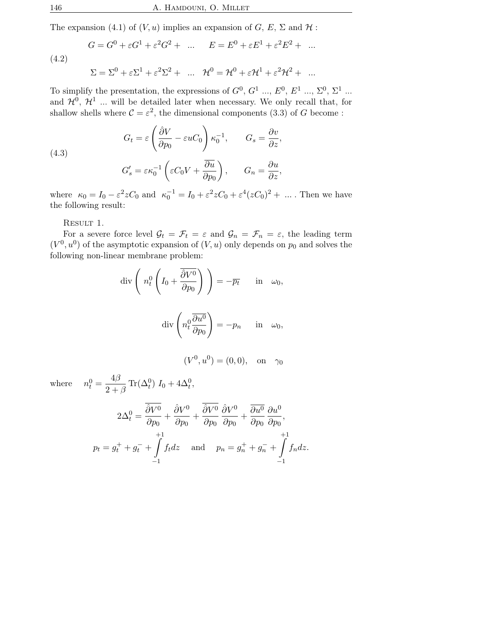The expansion (4.1) of  $(V, u)$  implies an expansion of  $G, E, \Sigma$  and  $H$ :

(4.2)  
\n
$$
G = G^{0} + \varepsilon G^{1} + \varepsilon^{2} G^{2} + \dots \qquad E = E^{0} + \varepsilon E^{1} + \varepsilon^{2} E^{2} + \dots
$$
\n
$$
\Sigma = \Sigma^{0} + \varepsilon \Sigma^{1} + \varepsilon^{2} \Sigma^{2} + \dots \qquad H^{0} = H^{0} + \varepsilon H^{1} + \varepsilon^{2} H^{2} + \dots
$$

To simplify the presentation, the expressions of  $G^0$ ,  $G^1$  ...,  $E^0$ ,  $E^1$  ...,  $\Sigma^0$ ,  $\Sigma^1$  ... and  $\mathcal{H}^0$ ,  $\mathcal{H}^1$  ... will be detailed later when necessary. We only recall that, for shallow shells where  $C = \varepsilon^2$ , the dimensional components (3.3) of G become:

(4.3)  
\n
$$
G_t = \varepsilon \left( \frac{\partial V}{\partial p_0} - \varepsilon u C_0 \right) \kappa_0^{-1}, \qquad G_s = \frac{\partial v}{\partial z},
$$
\n
$$
G_s' = \varepsilon \kappa_0^{-1} \left( \varepsilon C_0 V + \frac{\overline{\partial u}}{\partial p_0} \right), \qquad G_n = \frac{\partial u}{\partial z},
$$

where  $\kappa_0 = I_0 - \varepsilon^2 z C_0$  and  $\kappa_0^{-1} = I_0 + \varepsilon^2 z C_0 + \varepsilon^4 (z C_0)^2 + \dots$ . Then we have the following result:

RESULT 1.

For a severe force level  $\mathcal{G}_t = \mathcal{F}_t = \varepsilon$  and  $\mathcal{G}_n = \mathcal{F}_n = \varepsilon$ , the leading term  $(V<sup>0</sup>, u<sup>0</sup>)$  of the asymptotic expansion of  $(V, u)$  only depends on  $p<sub>0</sub>$  and solves the following non-linear membrane problem:

$$
\operatorname{div}\left(n_t^0 \left(I_0 + \frac{\overline{\partial} V^0}{\partial p_0}\right)\right) = -\overline{p_t} \quad \text{in} \quad \omega_0,
$$

$$
\operatorname{div}\left(n_t^0 \frac{\overline{\partial} u^0}{\partial p_0}\right) = -p_n \quad \text{in} \quad \omega_0,
$$

$$
(V^0, u^0) = (0, 0),
$$
 on  $\gamma_0$ 

where  $n_t^0 = \frac{4\beta}{2}$ 

$$
2\Delta_t^0 = \frac{\overline{\partial}V^0}{\partial p_0} + \frac{\overline{\partial}V^0}{\partial p_0} + \frac{\overline{\partial}V^0}{\partial p_0} \frac{\partial V^0}{\partial p_0} + \frac{\overline{\partial}u^0}{\partial p_0} \frac{\partial u^0}{\partial p_0},
$$
  

$$
p_t = g_t^+ + g_t^- + \int_{-1}^{+1} f_t dz \quad \text{and} \quad p_n = g_n^+ + g_n^- + \int_{-1}^{+1} f_n dz.
$$

 $\frac{4D}{2+\beta} \text{Tr}(\Delta_t^0) I_0 + 4\Delta_t^0,$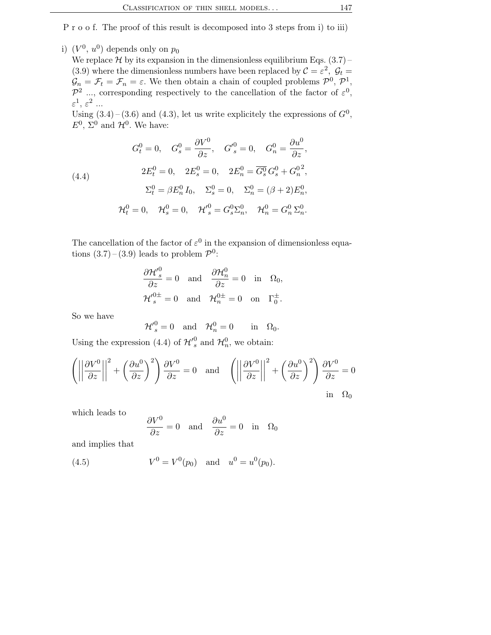P r o o f. The proof of this result is decomposed into 3 steps from i) to iii)

i)  $(V^0, u^0)$  depends only on  $p_0$ 

We replace  $H$  by its expansion in the dimensionless equilibrium Eqs. (3.7) – (3.9) where the dimensionless numbers have been replaced by  $C = \varepsilon^2$ ,  $C_t =$  $\mathcal{G}_n = \mathcal{F}_t = \mathcal{F}_n = \varepsilon$ . We then obtain a chain of coupled problems  $\mathcal{P}^0$ ,  $\mathcal{P}^1$ ,  $\mathcal{P}^2$  ..., corresponding respectively to the cancellation of the factor of  $\varepsilon^0$ ,  $\varepsilon^1,\,\varepsilon^2\,$  ...

Using  $(3.4) - (3.6)$  and  $(4.3)$ , let us write explicitely the expressions of  $G<sup>0</sup>$ ,  $E^0$ ,  $\Sigma^0$  and  $\mathcal{H}^0$ . We have:

(4.4)  
\n
$$
G_t^0 = 0, \quad G_s^0 = \frac{\partial V^0}{\partial z}, \quad G_s^0 = 0, \quad G_n^0 = \frac{\partial u^0}{\partial z},
$$
\n
$$
2E_t^0 = 0, \quad 2E_s^0 = 0, \quad 2E_n^0 = \overline{G_s^0} G_s^0 + G_n^0^2,
$$
\n
$$
\Sigma_t^0 = \beta E_n^0 I_0, \quad \Sigma_s^0 = 0, \quad \Sigma_n^0 = (\beta + 2) E_n^0,
$$
\n
$$
\mathcal{H}_t^0 = 0, \quad \mathcal{H}_s^0 = 0, \quad \mathcal{H}_s^{\prime^0} = G_s^0 \Sigma_n^0, \quad \mathcal{H}_n^0 = G_n^0 \Sigma_n^0.
$$

The cancellation of the factor of  $\varepsilon^0$  in the expansion of dimensionless equations  $(3.7)$  –  $(3.9)$  leads to problem  $\mathcal{P}^0$ :

$$
\frac{\partial \mathcal{H'}_s^0}{\partial z} = 0 \text{ and } \frac{\partial \mathcal{H}_n^0}{\partial z} = 0 \text{ in } \Omega_0,
$$
  

$$
\mathcal{H'}_s^{0\pm} = 0 \text{ and } \mathcal{H}_n^{0\pm} = 0 \text{ on } \Gamma_0^{\pm}.
$$

So we have

$$
_{s}^{0}=0\quad\text{and}\quad\mathcal{H}_{n}^{0}=0\qquad\text{in}\quad\Omega_{0}.
$$

Using the expression (4.4) of  $\mathcal{H}'^0_s$  and  $\mathcal{H}^0_n$ , we obtain:

 $\mathcal{H'}_{\circ}^0$ 

$$
\left( \left| \left| \frac{\partial V^0}{\partial z} \right| \right|^2 + \left( \frac{\partial u^0}{\partial z} \right)^2 \right) \frac{\partial V^0}{\partial z} = 0 \text{ and } \left( \left| \left| \frac{\partial V^0}{\partial z} \right| \right|^2 + \left( \frac{\partial u^0}{\partial z} \right)^2 \right) \frac{\partial V^0}{\partial z} = 0
$$
  
in  $\Omega_0$ 

which leads to

$$
\frac{\partial V^0}{\partial z} = 0 \quad \text{and} \quad \frac{\partial u^0}{\partial z} = 0 \quad \text{in} \quad \Omega_0
$$

and implies that

(4.5) 
$$
V^0 = V^0(p_0)
$$
 and  $u^0 = u^0(p_0)$ .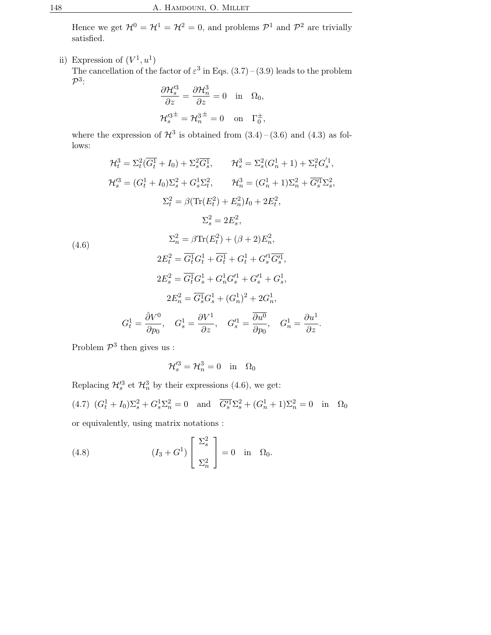Hence we get  $\mathcal{H}^0 = \mathcal{H}^1 = \mathcal{H}^2 = 0$ , and problems  $\mathcal{P}^1$  and  $\mathcal{P}^2$  are trivially satisfied.

ii) Expression of  $(V^1, u^1)$ The cancellation of the factor of  $\varepsilon^3$  in Eqs. (3.7) – (3.9) leads to the problem  $\mathcal{P}^3$ :

$$
\frac{\partial \mathcal{H}'^3_s}{\partial z} = \frac{\partial \mathcal{H}^3_n}{\partial z} = 0 \text{ in } \Omega_0,
$$
  

$$
\mathcal{H}'^{3\pm}_s = \mathcal{H}^{3\pm}_n = 0 \text{ on } \Gamma_0^{\pm},
$$

where the expression of  $\mathcal{H}^3$  is obtained from  $(3.4)$  –  $(3.6)$  and  $(4.3)$  as follows:

$$
\mathcal{H}_t^3 = \Sigma_t^2 (\overline{G_t^1} + I_0) + \Sigma_s^2 \overline{G_s^1}, \qquad \mathcal{H}_s^3 = \Sigma_s^2 (G_n^1 + 1) + \Sigma_t^2 G_s^{'1},
$$
  
\n
$$
\mathcal{H}_s^{'3} = (G_t^1 + I_0) \Sigma_s^2 + G_s^1 \Sigma_t^2, \qquad \mathcal{H}_n^3 = (G_n^1 + 1) \Sigma_n^2 + \overline{G_s^{'1}} \Sigma_s^2,
$$
  
\n
$$
\Sigma_t^2 = \beta (\text{Tr}(E_t^2) + E_n^2) I_0 + 2E_t^2,
$$
  
\n
$$
\Sigma_s^2 = 2E_s^2,
$$
  
\n(4.6)  
\n
$$
2E_t^2 = \overline{G_t^1} G_t^1 + \overline{G_t^1} + G_t^1 + G_s^{'1} \overline{G_s^{'1}},
$$
  
\n
$$
2E_s^2 = \overline{G_t^1} G_s^1 + G_n^1 G_s^{'1} + G_s^{'1},
$$
  
\n
$$
2E_n^2 = \overline{G_s^1} G_s^1 + (G_n^1)^2 + 2G_n^1,
$$
  
\n
$$
2E_n^2 = \overline{G_s^1} G_s^1 + (G_n^1)^2 + 2G_n^1,
$$
  
\n
$$
G_t^1 = \frac{\partial V^0}{\partial p_0}, \qquad G_s^1 = \frac{\partial V^1}{\partial z}, \qquad G_s^{'1} = \frac{\partial u^0}{\partial p_0}, \qquad G_n^1 = \frac{\partial u^1}{\partial z}.
$$

Problem  $\mathcal{P}^3$  then gives us :

$$
\mathcal{H}'^3_s = \mathcal{H}^3_n = 0 \quad \text{in} \quad \Omega_0
$$

Replacing  $\mathcal{H}_s^3$  et  $\mathcal{H}_n^3$  by their expressions (4.6), we get: (4.7)  $(G_t^1 + I_0)\Sigma_s^2 + G_s^1\Sigma_n^2 = 0$  and  $\overline{G_s^1}\Sigma_s^2 + (G_n^1 + 1)\Sigma_n^2 = 0$  in  $\Omega_0$ 

or equivalently, using matrix notations :

(4.8) 
$$
(I_3 + G^1) \begin{bmatrix} \Sigma_s^2 \\ \Sigma_n^2 \end{bmatrix} = 0 \text{ in } \Omega_0.
$$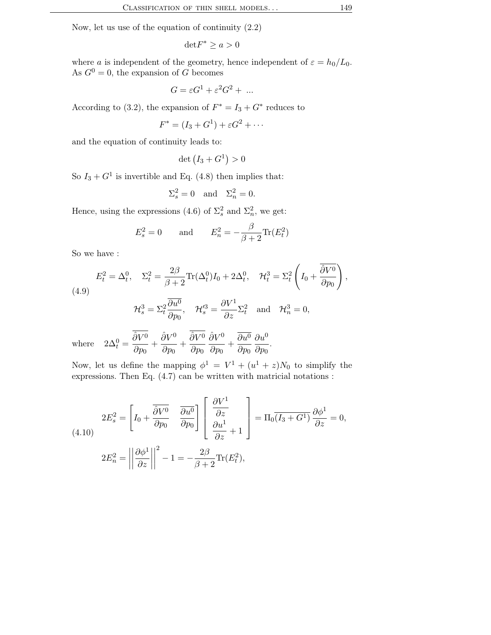Now, let us use of the equation of continuity (2.2)

$$
{\rm det} F^* \geq a > 0
$$

where a is independent of the geometry, hence independent of  $\varepsilon = h_0/L_0$ . As  $G^0 = 0$ , the expansion of G becomes

$$
G = \varepsilon G^1 + \varepsilon^2 G^2 + \dots
$$

According to (3.2), the expansion of  $F^* = I_3 + G^*$  reduces to

$$
F^* = (I_3 + G^1) + \varepsilon G^2 + \cdots
$$

and the equation of continuity leads to:

det  $(I_3 + G^1) > 0$ 

So  $I_3 + G^1$  is invertible and Eq. (4.8) then implies that:

$$
\Sigma_s^2 = 0 \quad \text{and} \quad \Sigma_n^2 = 0.
$$

Hence, using the expressions (4.6) of  $\Sigma_s^2$  and  $\Sigma_n^2$ , we get:

$$
E_s^2 = 0 \quad \text{and} \quad E_n^2 = -\frac{\beta}{\beta + 2} \text{Tr}(E_t^2)
$$

So we have :

$$
E_t^2 = \Delta_t^0, \quad \Sigma_t^2 = \frac{2\beta}{\beta + 2} \text{Tr}(\Delta_t^0) I_0 + 2\Delta_t^0, \quad \mathcal{H}_t^3 = \Sigma_t^2 \left( I_0 + \frac{\overline{\partial V^0}}{\partial p_0} \right),
$$
  
(4.9)  

$$
\mathcal{H}_s^3 = \Sigma_t^2 \frac{\overline{\partial u^0}}{\partial p_0}, \quad \mathcal{H}_s^{\prime 3} = \frac{\partial V^1}{\partial z} \Sigma_t^2 \quad \text{and} \quad \mathcal{H}_n^3 = 0,
$$
  

$$
\overline{\frac{\partial V^0}{\partial p_0}} \quad \overline{\frac{\partial V^0}{\partial p_0}} \quad \overline{\frac{\partial V^0}{\partial p_0}} \quad \overline{\frac{\partial V^0}{\partial p_0}} \quad \overline{\frac{\partial V^0}{\partial p_0}} \quad \overline{\frac{\partial V^0}{\partial p_0}} \quad \overline{\frac{\partial V^0}{\partial p_0}} \quad \overline{\frac{\partial V^0}{\partial p_0}} \quad \overline{\frac{\partial V^0}{\partial p_0}} \quad \overline{\frac{\partial V^0}{\partial p_0}} \quad \overline{\frac{\partial V^0}{\partial p_0}} \quad \overline{\frac{\partial V^0}{\partial p_0}} \quad \overline{\frac{\partial V^0}{\partial p_0}} \quad \overline{\frac{\partial V^0}{\partial p_0}} \quad \overline{\frac{\partial V^0}{\partial p_0}} \quad \overline{\frac{\partial V^0}{\partial p_0}} \quad \overline{\frac{\partial V^0}{\partial p_0}} \quad \overline{\frac{\partial V^0}{\partial p_0}} \quad \overline{\frac{\partial V^0}{\partial p_0}} \quad \overline{\frac{\partial V^0}{\partial p_0}} \quad \overline{\frac{\partial V^0}{\partial p_0}} \quad \overline{\frac{\partial V^0}{\partial p_0}} \quad \overline{\frac{\partial V^0}{\partial p_0}} \quad \overline{\frac{\partial V^0}{\partial p_0}} \quad \overline{\frac{\partial V^0}{\partial p_0}} \quad \overline{\frac{\partial V^0}{\partial p_0}} \quad \overline{\frac{\partial V^0}{\partial p_0}} \quad \overline{\frac{\partial V^0}{\partial p_0}} \quad \overline{\frac{\partial V^0}{\partial p_0}} \
$$

 $\!$  where  $t^{0} =$  $\hat{\partial}V^0$  $\frac{\hat{\partial}V^0}{\partial p_0} + \frac{\hat{\partial}V^0}{\partial p_0}$  $\frac{\hat{\partial}V^0}{\partial p_0} + \frac{\hat{\partial}V^0}{\partial p_0}$  $\partial p_0$  $\hat{\partial}V^0$  $\frac{\partial V^0}{\partial p_0} + \frac{\partial u^0}{\partial p_0}$  $\partial p_0$  $\partial u^0$  $rac{\sigma x}{\partial p_0}$ .

Now, let us define the mapping  $\phi^1 = V^1 + (u^1 + z)N_0$  to simplify the expressions. Then Eq. (4.7) can be written with matricial notations :

(4.10)  
\n
$$
2E_s^2 = \left[I_0 + \frac{\overline{\partial V^0}}{\partial p_0} \quad \frac{\overline{\partial u^0}}{\partial p_0}\right] \left[\frac{\partial V^1}{\partial z} + 1\right] = \Pi_0 \overline{(I_3 + G^1)} \frac{\partial \phi^1}{\partial z} = 0,
$$
\n
$$
2E_n^2 = \left|\left|\frac{\partial \phi^1}{\partial z}\right|\right|^2 - 1 = -\frac{2\beta}{\beta + 2} \text{Tr}(E_t^2),
$$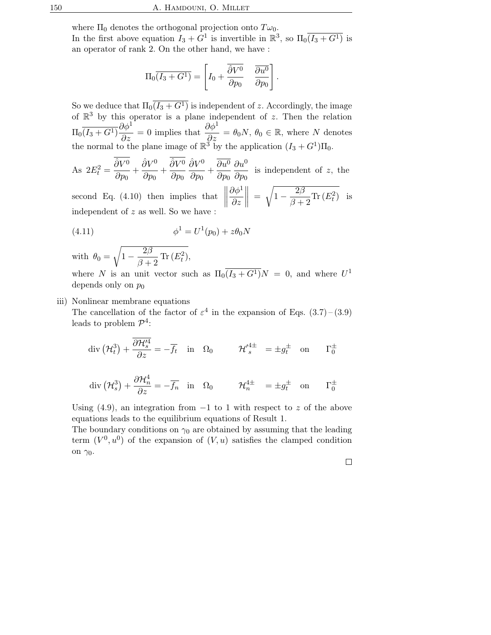where  $\Pi_0$  denotes the orthogonal projection onto  $T\omega_0$ . In the first above equation  $I_3 + G^1$  is invertible in  $\mathbb{R}^3$ , so  $\Pi_0\overline{(I_3 + G^1)}$  is an operator of rank 2. On the other hand, we have :

$$
\Pi_0 \overline{(I_3 + G^1)} = \left[ I_0 + \frac{\overline{\partial V^0}}{\partial p_0} \quad \overline{\frac{\partial u^0}{\partial p_0}} \right]
$$

.

So we deduce that  $\Pi_0(\overline{I_3 + G^1})$  is independent of z. Accordingly, the image of  $\mathbb{R}^3$  by this operator is a plane independent of z. Then the relation  $\Pi_0 \overline{(I_3 + G^1)} \frac{\partial \phi^1}{\partial \gamma}$  $\frac{\partial \phi^1}{\partial z} = 0$  implies that  $\frac{\partial \phi^1}{\partial z}$  $\frac{\partial \varphi}{\partial z} = \theta_0 N, \, \theta_0 \in \mathbb{R}, \text{ where } N \text{ denotes }$ the normal to the plane image of  $\mathbb{R}^3$  by the application  $(I_3 + G^1)\Pi_0$ .

As 
$$
2E_t^2 = \frac{\partial V^0}{\partial p_0} + \frac{\partial V^0}{\partial p_0} + \frac{\partial V^0}{\partial p_0} + \frac{\partial V^0}{\partial p_0} + \frac{\partial V^0}{\partial p_0} + \frac{\partial V^0}{\partial p_0}
$$
 is independent of z, the

second Eq. (4.10) then implies that  $\begin{tabular}{|c|c|c|} \hline \quad \quad & \quad \quad & \quad \quad \\ \hline \quad \quad & \quad \quad & \quad \quad \\ \hline \quad \quad & \quad \quad & \quad \quad \\ \hline \end{tabular}$  $\partial\phi^1$ ∂z  $\Big\| =$ <sup>1</sup>  $1-\frac{2\beta}{\beta}$  $\frac{2\rho}{\beta+2} \text{Tr}(E_t^2)$  is independent of z as well. So we have :

(4.11) 
$$
\phi^1 = U^1(p_0) + z\theta_0 N
$$

with 
$$
\theta_0 = \sqrt{1 - \frac{2\beta}{\beta + 2} \operatorname{Tr}(E_t^2)}
$$
,

where N is an unit vector such as  $\Pi_0 \overline{(I_3 + G^1)} N = 0$ , and where  $U^1$ depends only on  $p_0$ 

## iii) Nonlinear membrane equations

The cancellation of the factor of  $\varepsilon^4$  in the expansion of Eqs. (3.7) – (3.9) leads to problem  $\mathcal{P}^4$ :

$$
\operatorname{div} \left( \mathcal{H}_t^3 \right) + \frac{\overline{\partial \mathcal{H}_s^{\prime 4}}}{\partial z} = -\overline{f_t} \quad \text{in} \quad \Omega_0 \qquad \mathcal{H}_s^{\prime 4\pm} = \pm g_t^{\pm} \quad \text{on} \qquad \Gamma_0^{\pm}
$$

$$
\operatorname{div} (\mathcal{H}_s^3) + \frac{\partial \mathcal{H}_n^4}{\partial z} = -\overline{f_n} \quad \text{in} \quad \Omega_0 \qquad \mathcal{H}_n^{4\pm} = \pm g_t^{\pm} \quad \text{on} \qquad \Gamma_0^{\pm}
$$

Using (4.9), an integration from  $-1$  to 1 with respect to z of the above equations leads to the equilibrium equations of Result 1.

The boundary conditions on  $\gamma_0$  are obtained by assuming that the leading term  $(V^0, u^0)$  of the expansion of  $(V, u)$  satisfies the clamped condition on  $\gamma_0$ .

 $\Box$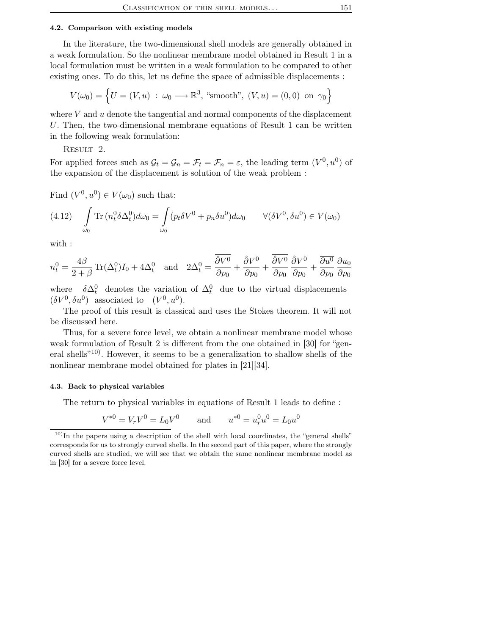#### 4.2. Comparison with existing models

In the literature, the two-dimensional shell models are generally obtained in a weak formulation. So the nonlinear membrane model obtained in Result 1 in a local formulation must be written in a weak formulation to be compared to other existing ones. To do this, let us define the space of admissible displacements :

$$
V(\omega_0) = \left\{ U = (V, u) : \omega_0 \longrightarrow \mathbb{R}^3, \text{ "smooth", } (V, u) = (0, 0) \text{ on } \gamma_0 \right\}
$$

where  $V$  and  $u$  denote the tangential and normal components of the displacement U. Then, the two-dimensional membrane equations of Result 1 can be written in the following weak formulation:

RESULT 2.

For applied forces such as  $\mathcal{G}_t = \mathcal{G}_n = \mathcal{F}_t = \mathcal{F}_n = \varepsilon$ , the leading term  $(V^0, u^0)$  of the expansion of the displacement is solution of the weak problem :

Find  $(V^0, u^0) \in V(\omega_0)$  such that:

(4.12) 
$$
\int_{\omega_0} \text{Tr} \left( n_t^0 \delta \Delta_t^0 \right) d\omega_0 = \int_{\omega_0} (\overline{p_t} \delta V^0 + p_n \delta u^0) d\omega_0 \qquad \forall (\delta V^0, \delta u^0) \in V(\omega_0)
$$

with :

$$
n_t^0 = \frac{4\beta}{2+\beta} \operatorname{Tr}(\Delta_t^0) I_0 + 4\Delta_t^0 \quad \text{and} \quad 2\Delta_t^0 = \frac{\overline{\partial V^0}}{\partial p_0} + \frac{\overline{\partial V^0}}{\partial p_0} + \frac{\overline{\partial V^0}}{\partial p_0} \frac{\partial V^0}{\partial p_0} + \frac{\overline{\partial u^0}}{\partial p_0} \frac{\partial u_0}{\partial p_0}
$$

where  $\lambda_t^0$  denotes the variation of  $\Delta_t^0$  due to the virtual displacements  $(\delta V^0, \delta u^0)$  associated to  $(V^0, u^0)$ .

The proof of this result is classical and uses the Stokes theorem. It will not be discussed here.

Thus, for a severe force level, we obtain a nonlinear membrane model whose weak formulation of Result 2 is different from the one obtained in [30] for "general shells"10) . However, it seems to be a generalization to shallow shells of the nonlinear membrane model obtained for plates in [21][34].

#### 4.3. Back to physical variables

The return to physical variables in equations of Result 1 leads to define :

$$
V^{*0} = V_r V^0 = L_0 V^0
$$
 and  $u^{*0} = u_r^0 u^0 = L_0 u^0$ 

<sup>&</sup>lt;sup>10)</sup>In the papers using a description of the shell with local coordinates, the "general shells" corresponds for us to strongly curved shells. In the second part of this paper, where the strongly curved shells are studied, we will see that we obtain the same nonlinear membrane model as in [30] for a severe force level.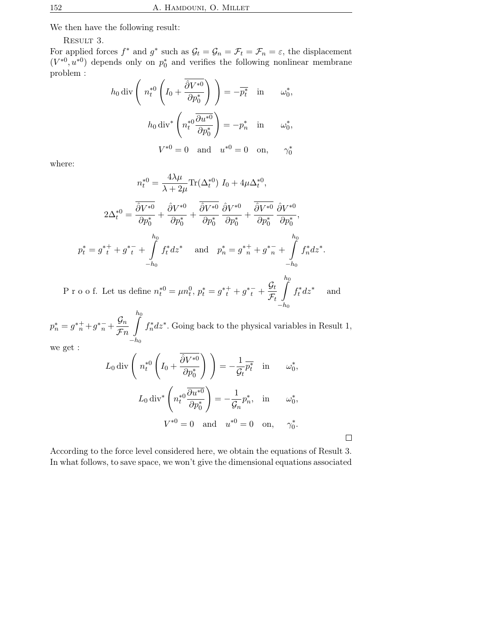We then have the following result:

RESULT 3.

For applied forces  $f^*$  and  $g^*$  such as  $\mathcal{G}_t = \mathcal{G}_n = \mathcal{F}_t = \mathcal{F}_n = \varepsilon$ , the displacement  $(V^{*0}, u^{*0})$  depends only on  $p_0^*$  and verifies the following nonlinear membrane problem :

$$
h_0 \operatorname{div} \left( n_t^{*0} \left( I_0 + \frac{\overline{\partial} V^{*0}}{\partial p_0^*} \right) \right) = -\overline{p_t^*} \quad \text{in} \quad \omega_0^*,
$$

$$
h_0 \operatorname{div}^* \left( n_t^{*0} \frac{\overline{\partial} u^{*0}}{\partial p_0^*} \right) = -p_n^* \quad \text{in} \quad \omega_0^*,
$$

$$
V^{*0} = 0 \quad \text{and} \quad u^{*0} = 0 \quad \text{on}, \quad \gamma_0^*
$$

where:

$$
n_t^{*0} = \frac{4\lambda\mu}{\lambda + 2\mu} \text{Tr}(\Delta_t^{*0}) I_0 + 4\mu\Delta_t^{*0},
$$
  

$$
2\Delta_t^{*0} = \frac{\overline{\partial}V^{*0}}{\partial p_0^*} + \frac{\widehat{\partial}V^{*0}}{\partial p_0^*} + \frac{\overline{\partial}V^{*0}}{\partial p_0^*} \frac{\partial V^{*0}}{\partial p_0^*} + \frac{\overline{\partial}V^{*0}}{\partial p_0^*} \frac{\partial V^{*0}}{\partial p_0^*},
$$
  

$$
p_t^* = g_{t}^{*+} + g_{t}^{*-} + \int_{-h_0}^{h_0} f_t^* dz^* \quad \text{and} \quad p_n^* = g_{n}^{*+} + g_{n}^{*-} + \int_{-h_0}^{h_0} f_n^* dz^*.
$$

P r o o f. Let us define  $n_t^{*0} = \mu n_t^0$ ,  $p_t^* = g^{*+}_{t} + g^{*-}_{t} + \frac{\mathcal{G}_t}{\mathcal{F}_t}$  $\mathcal{F}_t$  $\int$ <sup>h</sup><sup>0</sup>  $-h_0$  $f_t^* dz^*$ and

 $p_n^* = g_{n}^{*+} + g_{n}^{*-} + \frac{\mathcal{G}_n}{\mathcal{F}_n}$  $\mathcal{F}n$  $\int_{0}^{h}$  $-h_0$  $f_n^* dz^*$ . Going back to the physical variables in Result 1,

$$
\quad\text{we get}:\quad
$$

$$
L_0 \operatorname{div} \left( n_t^{*0} \left( I_0 + \frac{\overline{\partial} V^{*0}}{\partial p_0^*} \right) \right) = -\frac{1}{\mathcal{G}_t} \overline{p_t^*} \quad \text{in} \quad \omega_0^*,
$$
  

$$
L_0 \operatorname{div}^* \left( n_t^{*0} \frac{\overline{\partial} u^{*0}}{\partial p_0^*} \right) = -\frac{1}{\mathcal{G}_n} p_n^*, \quad \text{in} \quad \omega_0^*,
$$
  

$$
V^{*0} = 0 \quad \text{and} \quad u^{*0} = 0 \quad \text{on}, \quad \gamma_0^*.
$$

According to the force level considered here, we obtain the equations of Result 3. In what follows, to save space, we won't give the dimensional equations associated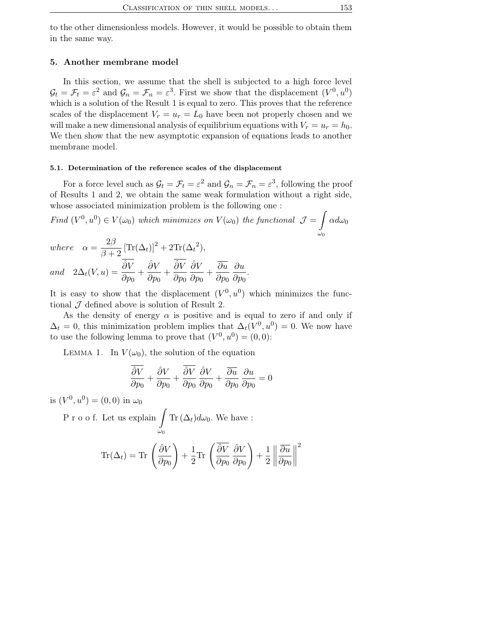to the other dimensionless models. However, it would be possible to obtain them in the same way.

## 5. Another membrane model

In this section, we assume that the shell is subjected to a high force level  $\mathcal{G}_t = \mathcal{F}_t = \varepsilon^2$  and  $\mathcal{G}_n = \mathcal{F}_n = \varepsilon^3$ . First we show that the displacement  $(V^0, u^0)$ which is a solution of the Result 1 is equal to zero. This proves that the reference scales of the displacement  $V_r = u_r = L_0$  have been not properly chosen and we will make a new dimensional analysis of equilibrium equations with  $V_r = u_r = h_0$ . We then show that the new asymptotic expansion of equations leads to another membrane model.

## 5.1. Determination of the reference scales of the displacement

For a force level such as  $\mathcal{G}_t = \mathcal{F}_t = \varepsilon^2$  and  $\mathcal{G}_n = \mathcal{F}_n = \varepsilon^3$ , following the proof of Results 1 and 2, we obtain the same weak formulation without a right side, whose associated minimization problem is the following one :

Find  $(V^0, u^0) \in V(\omega_0)$  which minimizes on  $V(\omega_0)$  the functional  $\mathcal{J} =$ Z  $\omega_0$  $\alpha d\omega_0$  $\sim$ 

where 
$$
\alpha = \frac{2\beta}{\beta + 2} [\text{Tr}(\Delta_t)]^2 + 2\text{Tr}(\Delta_t^2),
$$
  
and  $2\Delta_t(V, u) = \frac{\partial V}{\partial p_0} + \frac{\partial V}{\partial p_0} + \frac{\partial V}{\partial p_0} \frac{\partial V}{\partial p_0} + \frac{\overline{\partial u}}{\partial p_0} \frac{\partial u}{\partial p_0}.$ 

It is easy to show that the displacement  $(V<sup>0</sup>, u<sup>0</sup>)$  which minimizes the functional  $\mathcal J$  defined above is solution of Result 2.

As the density of energy  $\alpha$  is positive and is equal to zero if and only if  $\Delta_t = 0$ , this minimization problem implies that  $\Delta_t(V^0, u^0) = 0$ . We now have to use the following lemma to prove that  $(V^0, u^0) = (0, 0)$ :

LEMMA 1. In  $V(\omega_0)$ , the solution of the equation

$$
\frac{\overline{\partial} \overline{V}}{\partial p_0} + \frac{\partial \overline{V}}{\partial p_0} + \frac{\overline{\partial} \overline{V}}{\partial p_0} \frac{\partial \overline{V}}{\partial p_0} + \frac{\overline{\partial} \overline{u}}{\partial p_0} \frac{\partial \overline{u}}{\partial p_0} = 0
$$

is  $(V^{0}, u^{0}) = (0, 0)$  in  $\omega_{0}$ 

P r o o f. Let us explain  $\omega_0$  $\text{Tr}\left(\Delta_t\right)d\omega_0$ . We have :

$$
\text{Tr}(\Delta_t) = \text{Tr}\,\left(\frac{\hat{\partial}V}{\partial p_0}\right) + \frac{1}{2}\text{Tr}\,\left(\frac{\overline{\hat{\partial}V}}{\partial p_0}\,\frac{\hat{\partial}V}{\partial p_0}\right) + \frac{1}{2}\left\|\frac{\overline{\partial}u}{\partial p_0}\right\|^2
$$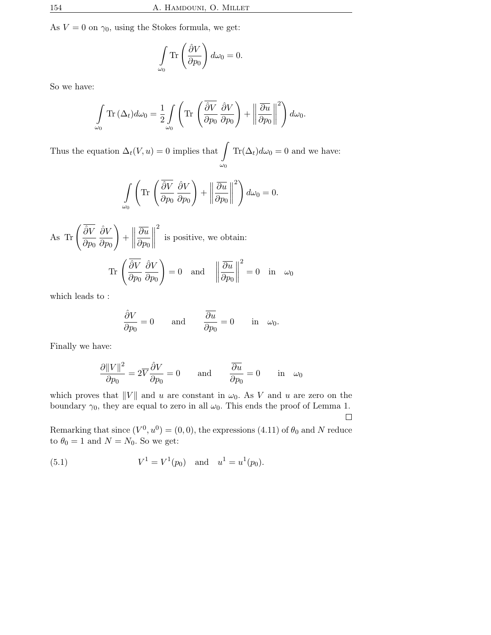As  $V = 0$  on  $\gamma_0$ , using the Stokes formula, we get:

$$
\int_{\omega_0} \text{Tr}\left(\frac{\hat{\partial}V}{\partial p_0}\right) d\omega_0 = 0.
$$

So we have:

$$
\int_{\omega_0} \text{Tr} \left( \Delta_t \right) d\omega_0 = \frac{1}{2} \int_{\omega_0} \left( \text{Tr} \left( \frac{\overline{\partial V}}{\partial p_0} \frac{\partial V}{\partial p_0} \right) + \left\| \frac{\overline{\partial u}}{\partial p_0} \right\|^2 \right) d\omega_0.
$$

Thus the equation  $\Delta_t(V, u) = 0$  implies that  $\omega_0$  $\text{Tr}(\Delta_t)d\omega_0=0$  and we have:

$$
\int_{\omega_0} \left( \text{Tr} \left( \frac{\partial V}{\partial p_0} \frac{\partial V}{\partial p_0} \right) + \left\| \frac{\partial u}{\partial p_0} \right\|^2 \right) d\omega_0 = 0.
$$

As Tr  $\int \overline{\hat{\partial}V}$  $\partial p_0$  $\hat{\partial}V$  $\partial p_0$ !  $+$ ° ° ° ° ∂u  $\partial p_0$ ° ° ° ° 2 is positive, we obtain: Tr  $\sqrt{\partial V}$  $\partial p_0$  $\hat{\partial}V$  $\partial p_0$  $\setminus$  $= 0$  and ° ° ° ° ∂u  $\partial p_0$ ° ° ° ° 2  $= 0$  in  $\omega_0$ 

which leads to :

$$
\frac{\partial V}{\partial p_0} = 0 \quad \text{and} \quad \frac{\overline{\partial u}}{\partial p_0} = 0 \quad \text{in} \quad \omega_0.
$$

Finally we have:

$$
\frac{\partial ||V||^2}{\partial p_0} = 2\overline{V} \frac{\hat{\partial} V}{\partial p_0} = 0 \quad \text{and} \quad \frac{\overline{\partial u}}{\partial p_0} = 0 \quad \text{in} \quad \omega_0
$$

which proves that  $||V||$  and u are constant in  $\omega_0$ . As V and u are zero on the boundary  $\gamma_0$ , they are equal to zero in all  $\omega_0$ . This ends the proof of Lemma 1.  $\Box$ 

Remarking that since  $(V^0, u^0) = (0, 0)$ , the expressions  $(4.11)$  of  $\theta_0$  and N reduce to  $\theta_0 = 1$  and  $N = N_0$ . So we get:

(5.1) 
$$
V^1 = V^1(p_0) \text{ and } u^1 = u^1(p_0).
$$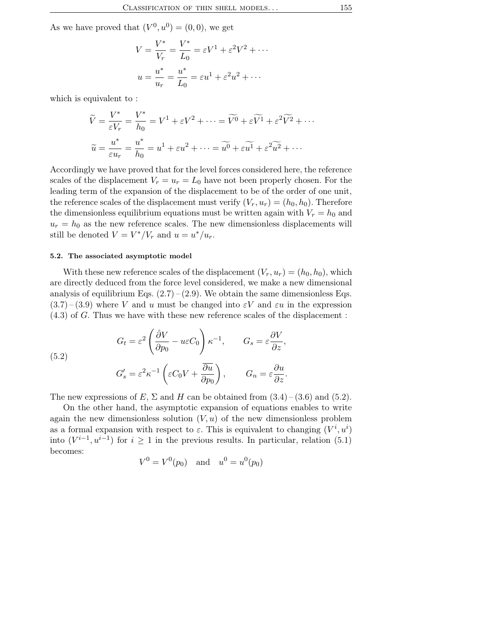As we have proved that  $(V^0, u^0) = (0, 0)$ , we get

$$
V = \frac{V^*}{V_r} = \frac{V^*}{L_0} = \varepsilon V^1 + \varepsilon^2 V^2 + \cdots
$$

$$
u = \frac{u^*}{u_r} = \frac{u^*}{L_0} = \varepsilon u^1 + \varepsilon^2 u^2 + \cdots
$$

which is equivalent to :

$$
\widetilde{V} = \frac{V^*}{\varepsilon V_r} = \frac{V^*}{h_0} = V^1 + \varepsilon V^2 + \dots = \widetilde{V^0} + \varepsilon \widetilde{V^1} + \varepsilon^2 \widetilde{V^2} + \dots
$$

$$
\widetilde{u} = \frac{u^*}{\varepsilon u_r} = \frac{u^*}{h_0} = u^1 + \varepsilon u^2 + \dots = \widetilde{u^0} + \varepsilon \widetilde{u^1} + \varepsilon^2 \widetilde{u^2} + \dots
$$

Accordingly we have proved that for the level forces considered here, the reference scales of the displacement  $V_r = u_r = L_0$  have not been properly chosen. For the leading term of the expansion of the displacement to be of the order of one unit, the reference scales of the displacement must verify  $(V_r, u_r) = (h_0, h_0)$ . Therefore the dimensionless equilibrium equations must be written again with  $V_r = h_0$  and  $u_r = h_0$  as the new reference scales. The new dimensionless displacements will still be denoted  $V = V^*/V_r$  and  $u = u^*/u_r$ .

## 5.2. The associated asymptotic model

With these new reference scales of the displacement  $(V_r, u_r) = (h_0, h_0)$ , which are directly deduced from the force level considered, we make a new dimensional analysis of equilibrium Eqs.  $(2.7)$  –  $(2.9)$ . We obtain the same dimensionless Eqs.  $(3.7)$  –  $(3.9)$  where V and u must be changed into  $\varepsilon V$  and  $\varepsilon u$  in the expression (4.3) of G. Thus we have with these new reference scales of the displacement :

(5.2)  
\n
$$
G_t = \varepsilon^2 \left( \frac{\partial V}{\partial p_0} - u\varepsilon C_0 \right) \kappa^{-1}, \qquad G_s = \varepsilon \frac{\partial V}{\partial z},
$$
\n
$$
G'_s = \varepsilon^2 \kappa^{-1} \left( \varepsilon C_0 V + \frac{\overline{\partial u}}{\partial p_0} \right), \qquad G_n = \varepsilon \frac{\partial u}{\partial z}.
$$

The new expressions of E,  $\Sigma$  and H can be obtained from  $(3.4)$  –  $(3.6)$  and  $(5.2)$ .

On the other hand, the asymptotic expansion of equations enables to write again the new dimensionless solution  $(V, u)$  of the new dimensionless problem as a formal expansion with respect to  $\varepsilon$ . This is equivalent to changing  $(V^i, u^i)$ into  $(V^{i-1}, u^{i-1})$  for  $i \geq 1$  in the previous results. In particular, relation (5.1) becomes:

$$
V^0 = V^0(p_0)
$$
 and  $u^0 = u^0(p_0)$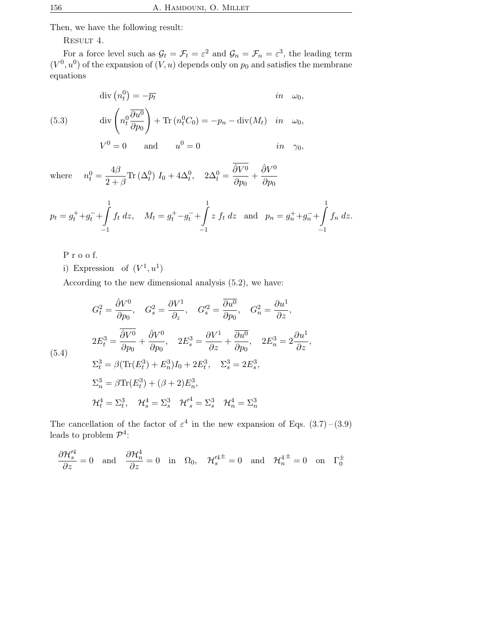Then, we have the following result:

RESULT 4.

For a force level such as  $\mathcal{G}_t = \mathcal{F}_t = \varepsilon^2$  and  $\mathcal{G}_n = \mathcal{F}_n = \varepsilon^3$ , the leading term  $(V<sup>0</sup>, u<sup>0</sup>)$  of the expansion of  $(V, u)$  depends only on  $p<sub>0</sub>$  and satisfies the membrane equations

$$
\text{(5.3)} \quad \text{div}\left(n_t^0\right) = -\overline{p_t} \quad \text{in} \quad \omega_0,
$$
\n
$$
\text{(5.3)} \quad \text{div}\left(n_t^0 \frac{\overline{\partial u^0}}{\partial p_0}\right) + \text{Tr}\left(n_t^0 C_0\right) = -p_n - \text{div}(M_t) \quad \text{in} \quad \omega_0,
$$
\n
$$
V^0 = 0 \quad \text{and} \quad u^0 = 0 \quad \text{in} \quad \gamma_0,
$$

where  $\frac{0}{t} = \frac{4\beta}{2}$  $\frac{4D}{2+\beta} \text{Tr}(\Delta_t^0) I_0 + 4\Delta_t^0$ ,  $2\Delta_t^0 =$  $\hat{\partial}V^0$  $\frac{\hat{\partial}V^0}{\partial p_0} + \frac{\hat{\partial}V^0}{\partial p_0}$  $\partial p_0$ 

$$
p_t = g_t^+ + g_t^- + \int_{-1}^1 f_t \, dz, \quad M_t = g_t^+ - g_t^- + \int_{-1}^1 z \, f_t \, dz \quad \text{and} \quad p_n = g_n^+ + g_n^- + \int_{-1}^1 f_n \, dz.
$$

- P r o o f.
- i) Expression of  $(V^1, u^1)$

According to the new dimensional analysis (5.2), we have:

$$
G_t^2 = \frac{\partial V^0}{\partial p_0}, \quad G_s^2 = \frac{\partial V^1}{\partial z}, \quad G_s'^2 = \frac{\overline{\partial u^0}}{\partial p_0}, \quad G_n^2 = \frac{\partial u^1}{\partial z},
$$
  
\n
$$
2E_t^3 = \frac{\overline{\partial V^0}}{\partial p_0} + \frac{\partial V^0}{\partial p_0}, \quad 2E_s^3 = \frac{\partial V^1}{\partial z} + \frac{\overline{\partial u^0}}{\partial p_0}, \quad 2E_n^3 = 2\frac{\partial u^1}{\partial z},
$$
  
\n
$$
\Sigma_t^3 = \beta(\text{Tr}(E_t^3) + E_n^3)I_0 + 2E_t^3, \quad \Sigma_s^3 = 2E_s^3,
$$
  
\n
$$
\Sigma_n^3 = \beta \text{Tr}(E_t^3) + (\beta + 2)E_n^3,
$$
  
\n
$$
\mathcal{H}_t^4 = \Sigma_t^3, \quad \mathcal{H}_s^4 = \Sigma_s^3 \quad \mathcal{H}_s'^4 = \Sigma_s^3 \quad \mathcal{H}_n^4 = \Sigma_n^3
$$

The cancellation of the factor of  $\varepsilon^4$  in the new expansion of Eqs.  $(3.7)$  –  $(3.9)$ leads to problem  $\mathcal{P}^4$ :

$$
\frac{\partial \mathcal{H}'^4_s}{\partial z} = 0 \quad \text{and} \quad \frac{\partial \mathcal{H}^4_n}{\partial z} = 0 \quad \text{in} \quad \Omega_0, \quad \mathcal{H}'^{4\pm}_s = 0 \quad \text{and} \quad \mathcal{H}^{4\pm}_n = 0 \quad \text{on} \quad \Gamma_0^{\pm}
$$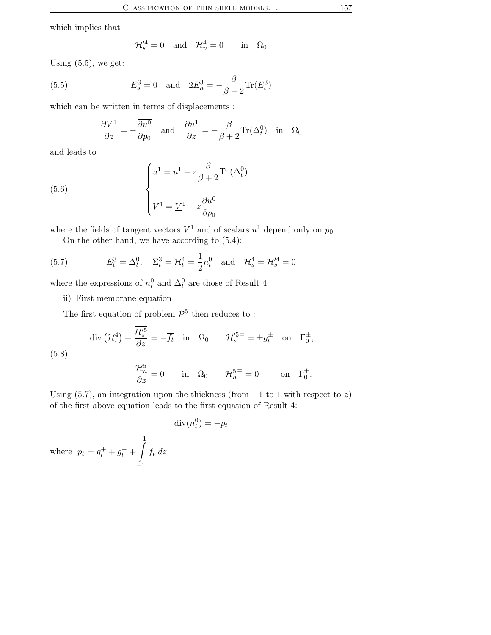which implies that

$$
\mathcal{H}'^4_s = 0 \quad \text{and} \quad \mathcal{H}^4_n = 0 \qquad \text{in} \quad \Omega_0
$$

Using  $(5.5)$ , we get:

(5.5) 
$$
E_s^3 = 0
$$
 and  $2E_n^3 = -\frac{\beta}{\beta + 2} \text{Tr}(E_t^3)$ 

which can be written in terms of displacements :

$$
\frac{\partial V^1}{\partial z} = -\frac{\overline{\partial u^0}}{\partial p_0} \quad \text{and} \quad \frac{\partial u^1}{\partial z} = -\frac{\beta}{\beta + 2} \text{Tr}(\Delta_t^0) \quad \text{in} \quad \Omega_0
$$

and leads to

(5.6) 
$$
\begin{cases} u^1 = \underline{u}^1 - z \frac{\beta}{\beta + 2} \text{Tr} (\Delta_t^0) \\ V^1 = \underline{V}^1 - z \frac{\partial u^0}{\partial p_0} \end{cases}
$$

where the fields of tangent vectors  $\underline{V}^1$  and of scalars  $\underline{u}^1$  depend only on  $p_0$ .

On the other hand, we have according to (5.4):

(5.7) 
$$
E_t^3 = \Delta_t^0
$$
,  $\Sigma_t^3 = \mathcal{H}_t^4 = \frac{1}{2} n_t^0$  and  $\mathcal{H}_s^4 = \mathcal{H}_s^{\prime 4} = 0$ 

where the expressions of  $n_t^0$  and  $\Delta_t^0$  are those of Result 4.

ii) First membrane equation

The first equation of problem  $\mathcal{P}^5$  then reduces to:

$$
\operatorname{div} \left( \mathcal{H}_t^4 \right) + \frac{\overline{\mathcal{H}_s'^5}}{\partial z} = -\overline{f}_t \quad \text{in} \quad \Omega_0 \qquad \mathcal{H}_s'^{5^{\pm}} = \pm g_t^{\pm} \quad \text{on} \quad \Gamma_0^{\pm},
$$
\n
$$
\mathcal{H}_s^5 \qquad \qquad \square
$$

$$
\frac{\mathcal{H}_n^5}{\partial z} = 0 \quad \text{in} \quad \Omega_0 \qquad \mathcal{H}_n^{5^{\pm}} = 0 \qquad \text{on} \quad \Gamma_0^{\pm}.
$$

Using (5.7), an integration upon the thickness (from  $-1$  to 1 with respect to z) of the first above equation leads to the first equation of Result 4:

 $\operatorname{div}(n_t^0) = -\overline{p_t}$ 

where 
$$
p_t = g_t^+ + g_t^- + \int_{-1}^1 f_t dz
$$
.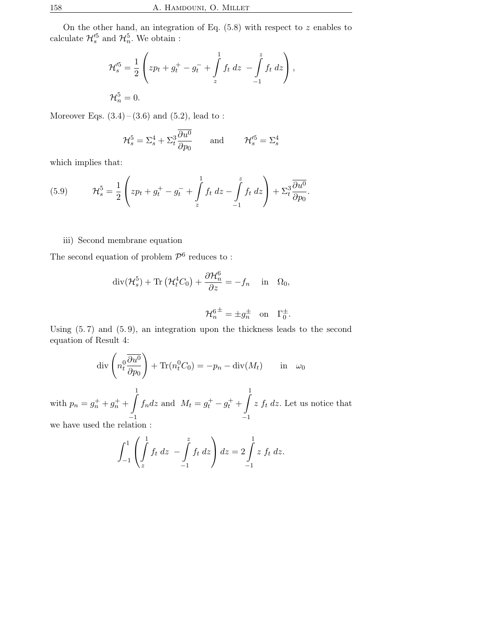On the other hand, an integration of Eq.  $(5.8)$  with respect to z enables to calculate  $\mathcal{H}_{s}^{\prime 5}$  and  $\mathcal{H}_{n}^{5}$ . We obtain :

$$
\mathcal{H}'^{5}_{s} = \frac{1}{2} \left( z p_{t} + g_{t}^{+} - g_{t}^{-} + \int_{z}^{1} f_{t} dz - \int_{-1}^{z} f_{t} dz \right),
$$
  

$$
\mathcal{H}^{5}_{n} = 0.
$$

Moreover Eqs.  $(3.4) - (3.6)$  and  $(5.2)$ , lead to:

$$
\mathcal{H}_s^5 = \Sigma_s^4 + \Sigma_t^3 \frac{\partial u^0}{\partial p_0} \quad \text{and} \quad \mathcal{H}_s'^5 = \Sigma_s^4
$$

which implies that:

(5.9) 
$$
\mathcal{H}_s^5 = \frac{1}{2} \left( z p_t + g_t^+ - g_t^- + \int_z^1 f_t \, dz - \int_{-1}^z f_t \, dz \right) + \Sigma_t^3 \frac{\partial u^0}{\partial p_0}.
$$

## iii) Second membrane equation

The second equation of problem  $\mathcal{P}^6$  reduces to:

$$
\operatorname{div}(\mathcal{H}_s^5) + \operatorname{Tr}(\mathcal{H}_t^4 C_0) + \frac{\partial \mathcal{H}_n^6}{\partial z} = -f_n \quad \text{in} \quad \Omega_0,
$$
  

$$
\mathcal{H}_n^{6 \pm} = \pm g_n^{\pm} \quad \text{on} \quad \Gamma_0^{\pm}.
$$

Using (5. 7) and (5. 9), an integration upon the thickness leads to the second equation of Result 4:

$$
\operatorname{div}\left(n_t^0 \frac{\overline{\partial u^0}}{\partial p_0}\right) + \operatorname{Tr}(n_t^0 C_0) = -p_n - \operatorname{div}(M_t) \quad \text{in} \quad \omega_0
$$

$$
= g_n^+ + g_n^+ + \int f_n dz \text{ and } M_t = g_t^+ - g_t^+ + \int z f_t dz. \text{ Let us not:}
$$

with  $p_n$  =  $n^{+} + g$  $n^{+}$  +  $\frac{J}{-1}$  $f_n dz$  and  $M_t = g$  $t_t^+ - g$  $t^+$  +  $\frac{J}{-1}$ ice that we have used the relation :

$$
\int_{-1}^{1} \left( \int_{z}^{1} f_{t} \, dz \, - \int_{-1}^{z} f_{t} \, dz \right) dz = 2 \int_{-1}^{1} z \, f_{t} \, dz.
$$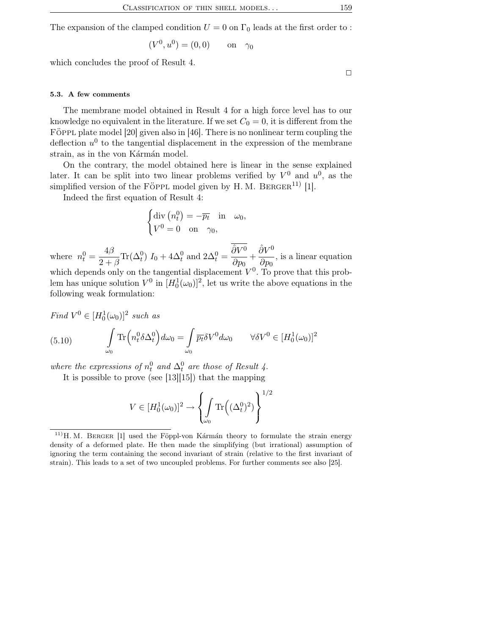The expansion of the clamped condition  $U = 0$  on  $\Gamma_0$  leads at the first order to :

$$
(V^0, u^0) = (0, 0)
$$
 on  $\gamma_0$ 

which concludes the proof of Result 4.

 $\Box$ 

#### 5.3. A few comments

The membrane model obtained in Result 4 for a high force level has to our knowledge no equivalent in the literature. If we set  $C_0 = 0$ , it is different from the FÖPPL plate model [20] given also in [46]. There is no nonlinear term coupling the deflection  $u^0$  to the tangential displacement in the expression of the membrane strain, as in the von Kármán model.

On the contrary, the model obtained here is linear in the sense explained later. It can be split into two linear problems verified by  $V^0$  and  $u^0$ , as the simplified version of the FÖPPL model given by H.M. BERGER<sup>11)</sup> [1].

Indeed the first equation of Result 4:

$$
\begin{cases} \text{div}\left(n_t^0\right) = -\overline{p_t} & \text{in } \omega_0, \\ V^0 = 0 & \text{on } \gamma_0, \end{cases}
$$

where  $n_t^0 = \frac{4\beta}{2}$  $\frac{4D}{2+\beta}\text{Tr}(\Delta_t^0) I_0 + 4\Delta_t^0$  and  $2\Delta_t^0 =$  $\hat{\partial}V^0$  $\frac{\hat{\partial}V^0}{\partial p_0} + \frac{\hat{\partial}V^0}{\partial p_0}$  $rac{\partial \phi}{\partial p_0}$ , is a linear equation which depends only on the tangential displacement  $V^0$ . To prove that this prob-

lem has unique solution  $V^0$  in  $[H_0^1(\omega_0)]^2$ , let us write the above equations in the following weak formulation:

Find 
$$
V^0 \in [H_0^1(\omega_0)]^2
$$
 such as  
\n(5.10) 
$$
\int_{\omega_0} \text{Tr}\left(n_t^0 \delta \Delta_t^0\right) d\omega_0 = \int_{\omega_0} \overline{p_t} \delta V^0 d\omega_0 \qquad \forall \delta V^0 \in [H_0^1(\omega_0)]^2
$$

where the expressions of  $n_t^0$  and  $\Delta_t^0$  are those of Result 4.

It is possible to prove (see [13][15]) that the mapping

$$
V \in [H_0^1(\omega_0)]^2 \to \left\{ \int_{\omega_0} \text{Tr}\left( (\Delta_t^0)^2 \right) \right\}^{1/2}
$$

 $11)$  H. M. BERGER [1] used the Föppl-von Kármán theory to formulate the strain energy density of a deformed plate. He then made the simplifying (but irrational) assumption of ignoring the term containing the second invariant of strain (relative to the first invariant of strain). This leads to a set of two uncoupled problems. For further comments see also [25].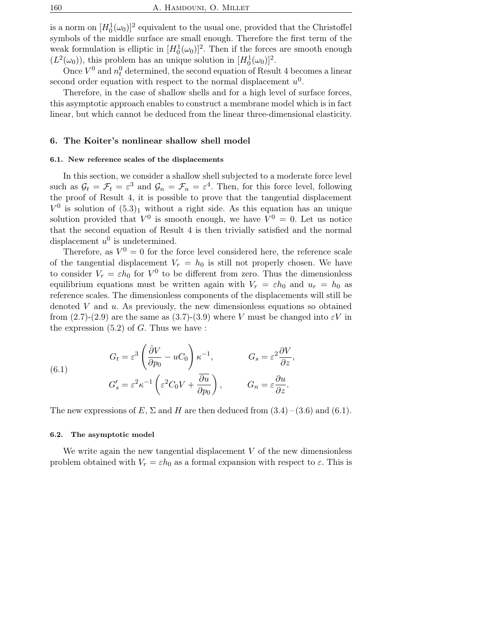is a norm on  $[H_0^1(\omega_0)]^2$  equivalent to the usual one, provided that the Christoffel symbols of the middle surface are small enough. Therefore the first term of the weak formulation is elliptic in  $[H_0^1(\omega_0)]^2$ . Then if the forces are smooth enough  $(L^2(\omega_0))$ , this problem has an unique solution in  $[H_0^1(\omega_0)]^2$ .

Once  $V^0$  and  $n_t^0$  determined, the second equation of Result 4 becomes a linear second order equation with respect to the normal displacement  $u^0$ .

Therefore, in the case of shallow shells and for a high level of surface forces, this asymptotic approach enables to construct a membrane model which is in fact linear, but which cannot be deduced from the linear three-dimensional elasticity.

### 6. The Koiter's nonlinear shallow shell model

## 6.1. New reference scales of the displacements

In this section, we consider a shallow shell subjected to a moderate force level such as  $\mathcal{G}_t = \mathcal{F}_t = \varepsilon^3$  and  $\mathcal{G}_n = \mathcal{F}_n = \varepsilon^4$ . Then, for this force level, following the proof of Result 4, it is possible to prove that the tangential displacement  $V^0$  is solution of  $(5.3)<sub>1</sub>$  without a right side. As this equation has an unique solution provided that  $V^0$  is smooth enough, we have  $V^0 = 0$ . Let us notice that the second equation of Result 4 is then trivially satisfied and the normal displacement  $u^0$  is undetermined.

Therefore, as  $V^0 = 0$  for the force level considered here, the reference scale of the tangential displacement  $V_r = h_0$  is still not properly chosen. We have to consider  $V_r = \varepsilon h_0$  for  $V^0$  to be different from zero. Thus the dimensionless equilibrium equations must be written again with  $V_r = \varepsilon h_0$  and  $u_r = h_0$  as reference scales. The dimensionless components of the displacements will still be denoted V and  $u$ . As previously, the new dimensionless equations so obtained from (2.7)-(2.9) are the same as (3.7)-(3.9) where V must be changed into  $\varepsilon$ V in the expression  $(5.2)$  of G. Thus we have :

(6.1) 
$$
G_t = \varepsilon^3 \left( \frac{\partial V}{\partial p_0} - uC_0 \right) \kappa^{-1}, \qquad G_s = \varepsilon^2 \frac{\partial V}{\partial z},
$$

$$
G'_s = \varepsilon^2 \kappa^{-1} \left( \varepsilon^2 C_0 V + \frac{\overline{\partial u}}{\partial p_0} \right), \qquad G_n = \varepsilon \frac{\partial u}{\partial z}.
$$

The new expressions of E,  $\Sigma$  and H are then deduced from  $(3.4)$  –  $(3.6)$  and  $(6.1)$ .

#### 6.2. The asymptotic model

We write again the new tangential displacement  $V$  of the new dimensionless problem obtained with  $V_r = \varepsilon h_0$  as a formal expansion with respect to  $\varepsilon$ . This is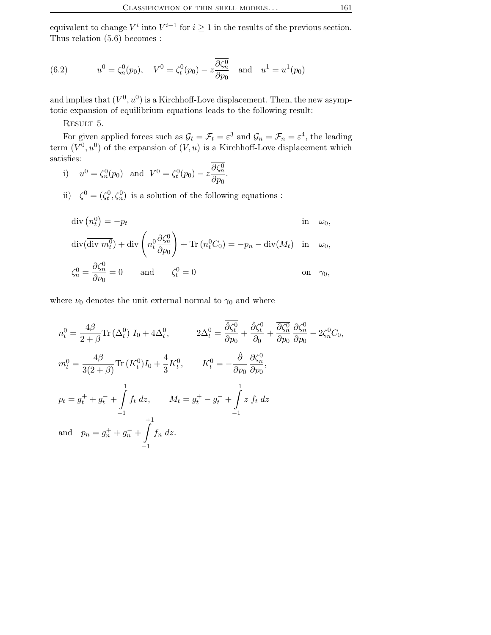equivalent to change  $V^i$  into  $V^{i-1}$  for  $i \geq 1$  in the results of the previous section. Thus relation (5.6) becomes :

(6.2) 
$$
u^0 = \zeta_n^0(p_0), \quad V^0 = \zeta_t^0(p_0) - z \frac{\overline{\partial \zeta_n^0}}{\partial p_0} \text{ and } u^1 = u^1(p_0)
$$

and implies that  $(V^0, u^0)$  is a Kirchhoff-Love displacement. Then, the new asymptotic expansion of equilibrium equations leads to the following result:

RESULT 5.

For given applied forces such as  $\mathcal{G}_t = \mathcal{F}_t = \varepsilon^3$  and  $\mathcal{G}_n = \mathcal{F}_n = \varepsilon^4$ , the leading term  $(V^0, u^0)$  of the expansion of  $(V, u)$  is a Kirchhoff-Love displacement which satisfies:

i)  $u^0 = \zeta_n^0(p_0)$  and  $V^0 = \zeta_t^0(p_0) - z \frac{\partial \zeta_n^0}{\partial p_0}$  $rac{\sigma \, \mathbf{s}_n}{\partial p_0}$ .

ii)  $\zeta^0 = (\zeta_t^0, \zeta_n^0)$  is a solution of the following equations :

$$
\operatorname{div}(n_t^0) = -\overline{p_t} \qquad \qquad \text{in} \quad \omega_0,
$$

$$
\operatorname{div}(\overline{\operatorname{div} m_t^0}) + \operatorname{div}\left(n_t^0 \frac{\overline{\partial \zeta_n^0}}{\partial p_0}\right) + \operatorname{Tr}(n_t^0 C_0) = -p_n - \operatorname{div}(M_t) \quad \text{in} \quad \omega_0,
$$
  
 
$$
\partial \zeta_0^0
$$

$$
\zeta_n^0 = \frac{\partial \zeta_n^0}{\partial \nu_0} = 0 \quad \text{and} \quad \zeta_t^0 = 0 \quad \text{on} \quad \gamma_0,
$$

where  $\nu_0$  denotes the unit external normal to  $\gamma_0$  and where

$$
n_t^0 = \frac{4\beta}{2+\beta} \text{Tr} \left( \Delta_t^0 \right) I_0 + 4\Delta_t^0, \qquad 2\Delta_t^0 = \frac{\overline{\partial} \zeta_t^0}{\partial p_0} + \frac{\overline{\partial} \zeta_t^0}{\partial \theta} + \frac{\overline{\partial} \zeta_t^0}{\partial p_0} \frac{\partial \zeta_t^0}{\partial p_0} - 2\zeta_t^0 C_0,
$$
  
\n
$$
m_t^0 = \frac{4\beta}{3(2+\beta)} \text{Tr} \left( K_t^0 \right) I_0 + \frac{4}{3} K_t^0, \qquad K_t^0 = -\frac{\hat{\partial}}{\partial p_0} \frac{\partial \zeta_t^0}{\partial p_0},
$$
  
\n
$$
p_t = g_t^+ + g_t^- + \int_{-1}^1 f_t \, dz, \qquad M_t = g_t^+ - g_t^- + \int_{-1}^1 z \, f_t \, dz
$$
  
\nand 
$$
p_n = g_n^+ + g_n^- + \int_{-1}^{+1} f_n \, dz.
$$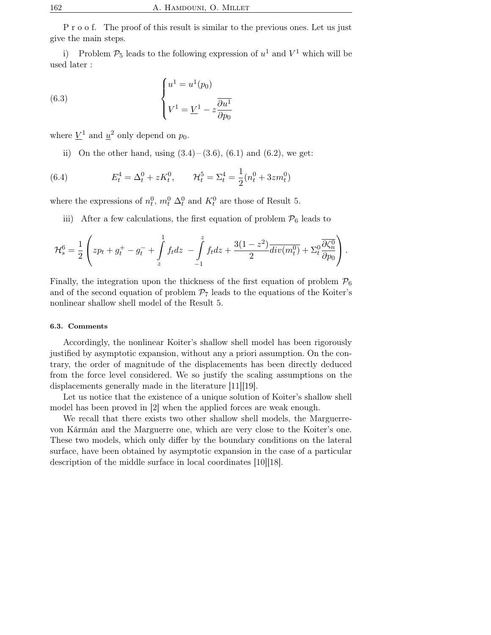P r o o f. The proof of this result is similar to the previous ones. Let us just give the main steps.

i) Problem  $\mathcal{P}_5$  leads to the following expression of  $u^1$  and  $V^1$  which will be used later :

(6.3) 
$$
\begin{cases} u^1 = u^1(p_0) \\ V^1 = \underline{V}^1 - z \frac{\partial u^1}{\partial p_0} \end{cases}
$$

where  $\underline{V}^1$  and  $\underline{u}^2$  only depend on  $p_0$ .

ii) On the other hand, using  $(3.4) - (3.6)$ ,  $(6.1)$  and  $(6.2)$ , we get:

(6.4) 
$$
E_t^4 = \Delta_t^0 + zK_t^0, \qquad \mathcal{H}_t^5 = \Sigma_t^4 = \frac{1}{2}(n_t^0 + 3zm_t^0)
$$

where the expressions of  $n_t^0$ ,  $m_t^0$   $\Delta_t^0$  and  $K_t^0$  are those of Result 5.

iii) After a few calculations, the first equation of problem  $\mathcal{P}_6$  leads to

$$
\mathcal{H}_s^6 = \frac{1}{2} \left( z p_t + g_t^+ - g_t^- + \int_z^1 f_t dz - \int_{-1}^z f_t dz + \frac{3(1-z^2)}{2} \overline{div(m_t^0)} + \Sigma_t^0 \frac{\overline{\partial \zeta_n^0}}{\partial p_0} \right).
$$

Finally, the integration upon the thickness of the first equation of problem  $\mathcal{P}_6$ and of the second equation of problem  $\mathcal{P}_7$  leads to the equations of the Koiter's nonlinear shallow shell model of the Result 5.

## 6.3. Comments

Accordingly, the nonlinear Koiter's shallow shell model has been rigorously justified by asymptotic expansion, without any a priori assumption. On the contrary, the order of magnitude of the displacements has been directly deduced from the force level considered. We so justify the scaling assumptions on the displacements generally made in the literature [11][19].

Let us notice that the existence of a unique solution of Koiter's shallow shell model has been proved in [2] when the applied forces are weak enough.

We recall that there exists two other shallow shell models, the Marguerrevon Kármán and the Marguerre one, which are very close to the Koiter's one. These two models, which only differ by the boundary conditions on the lateral surface, have been obtained by asymptotic expansion in the case of a particular description of the middle surface in local coordinates [10][18].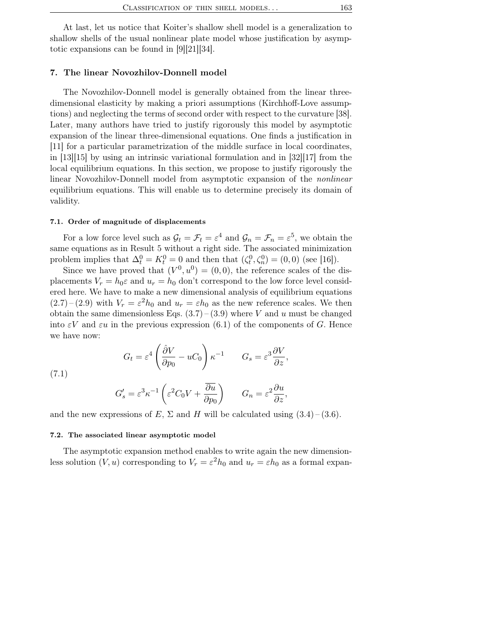At last, let us notice that Koiter's shallow shell model is a generalization to shallow shells of the usual nonlinear plate model whose justification by asymptotic expansions can be found in [9][21][34].

## 7. The linear Novozhilov-Donnell model

The Novozhilov-Donnell model is generally obtained from the linear threedimensional elasticity by making a priori assumptions (Kirchhoff-Love assumptions) and neglecting the terms of second order with respect to the curvature [38]. Later, many authors have tried to justify rigorously this model by asymptotic expansion of the linear three-dimensional equations. One finds a justification in [11] for a particular parametrization of the middle surface in local coordinates, in [13][15] by using an intrinsic variational formulation and in [32][17] from the local equilibrium equations. In this section, we propose to justify rigorously the linear Novozhilov-Donnell model from asymptotic expansion of the nonlinear equilibrium equations. This will enable us to determine precisely its domain of validity.

#### 7.1. Order of magnitude of displacements

For a low force level such as  $\mathcal{G}_t = \mathcal{F}_t = \varepsilon^4$  and  $\mathcal{G}_n = \mathcal{F}_n = \varepsilon^5$ , we obtain the same equations as in Result 5 without a right side. The associated minimization problem implies that  $\Delta_t^0 = K_t^0 = 0$  and then that  $(\zeta_t^0, \zeta_n^0) = (0, 0)$  (see [16]).

Since we have proved that  $(V^0, u^0) = (0, 0)$ , the reference scales of the displacements  $V_r = h_0 \varepsilon$  and  $u_r = h_0$  don't correspond to the low force level considered here. We have to make a new dimensional analysis of equilibrium equations  $(2.7)$  –  $(2.9)$  with  $V_r = \varepsilon^2 h_0$  and  $u_r = \varepsilon h_0$  as the new reference scales. We then obtain the same dimensionless Eqs.  $(3.7)$  –  $(3.9)$  where V and u must be changed into  $\epsilon V$  and  $\epsilon u$  in the previous expression (6.1) of the components of G. Hence we have now:

(7.1)  

$$
G_t = \varepsilon^4 \left( \frac{\hat{\partial} V}{\partial p_0} - u C_0 \right) \kappa^{-1} \qquad G_s = \varepsilon^3 \frac{\partial V}{\partial z},
$$

$$
G_s' = \varepsilon^3 \kappa^{-1} \left( \varepsilon^2 C_0 V + \frac{\overline{\partial} u}{\partial p_0} \right) \qquad G_n = \varepsilon^2 \frac{\partial u}{\partial z},
$$

and the new expressions of E,  $\Sigma$  and H will be calculated using  $(3.4)$  –  $(3.6)$ .

 $\partial p_0$ 

#### 7.2. The associated linear asymptotic model

The asymptotic expansion method enables to write again the new dimensionless solution  $(V, u)$  corresponding to  $V_r = \varepsilon^2 h_0$  and  $u_r = \varepsilon h_0$  as a formal expan-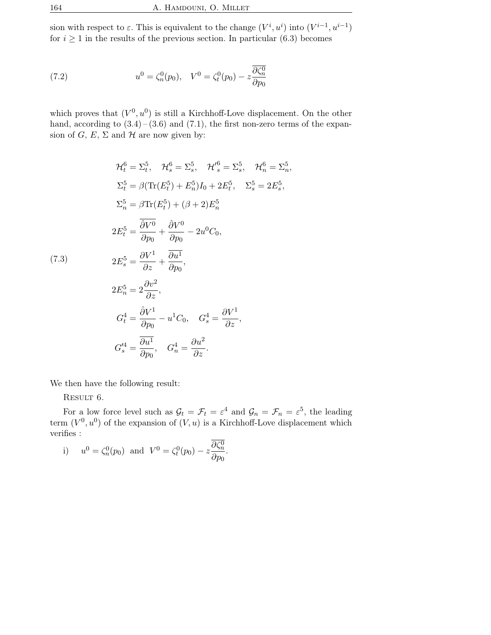sion with respect to  $\varepsilon$ . This is equivalent to the change  $(V^i, u^i)$  into  $(V^{i-1}, u^{i-1})$ for  $i \geq 1$  in the results of the previous section. In particular (6.3) becomes

(7.2) 
$$
u^{0} = \zeta_{n}^{0}(p_{0}), \quad V^{0} = \zeta_{t}^{0}(p_{0}) - z \frac{\partial \zeta_{n}^{0}}{\partial p_{0}}
$$

which proves that  $(V^0, u^0)$  is still a Kirchhoff-Love displacement. On the other hand, according to  $(3.4)$  –  $(3.6)$  and  $(7.1)$ , the first non-zero terms of the expansion of  $G, E, \Sigma$  and  $H$  are now given by:

$$
\mathcal{H}_t^6 = \Sigma_t^5, \quad \mathcal{H}_s^6 = \Sigma_s^5, \quad \mathcal{H}_s^{\prime 6} = \Sigma_s^5, \quad \mathcal{H}_n^6 = \Sigma_n^5,
$$
  
\n
$$
\Sigma_t^5 = \beta(\text{Tr}(E_t^5) + E_n^5)I_0 + 2E_t^5, \quad \Sigma_s^5 = 2E_s^5,
$$
  
\n
$$
\Sigma_n^5 = \frac{\partial \text{Tr}(E_t^5) + (\beta + 2)E_n^5}{\partial p_0}.
$$
  
\n
$$
2E_t^5 = \frac{\partial V^1}{\partial p_0} + \frac{\partial V^0}{\partial p_0} - 2u^0C_0,
$$
  
\n(7.3)  
\n
$$
2E_s^5 = \frac{\partial V^1}{\partial z} + \frac{\partial u^1}{\partial p_0},
$$
  
\n
$$
2E_n^5 = 2\frac{\partial v^2}{\partial z},
$$
  
\n
$$
G_t^4 = \frac{\partial V^1}{\partial p_0} - u^1C_0, \quad G_s^4 = \frac{\partial V^1}{\partial z},
$$
  
\n
$$
G_s^{\prime 4} = \frac{\partial u^1}{\partial p_0}, \quad G_n^4 = \frac{\partial u^2}{\partial z}.
$$

We then have the following result:

RESULT 6.

For a low force level such as  $\mathcal{G}_t = \mathcal{F}_t = \varepsilon^4$  and  $\mathcal{G}_n = \mathcal{F}_n = \varepsilon^5$ , the leading term  $(V^0, u^0)$  of the expansion of  $(V, u)$  is a Kirchhoff-Love displacement which verifies :

i) 
$$
u^0 = \zeta_n^0(p_0)
$$
 and  $V^0 = \zeta_t^0(p_0) - z \frac{\partial \zeta_n^0}{\partial p_0}$ .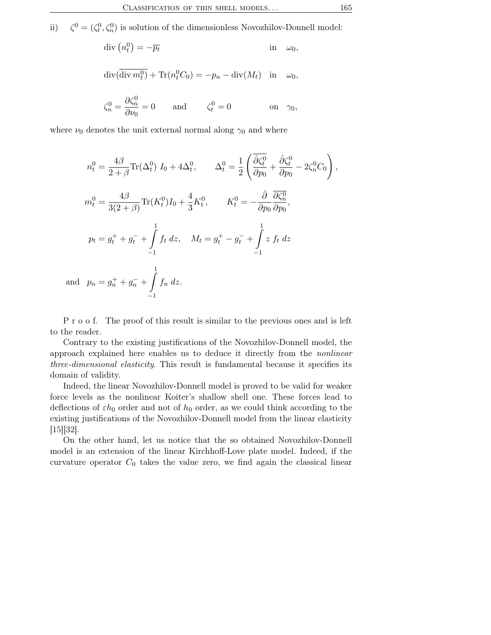ii)  $\zeta^0 = (\zeta_t^0, \zeta_n^0)$  is solution of the dimensionless Novozhilov-Donnell model:

$$
\operatorname{div}\left(n_t^0\right) = -\overline{p_t} \qquad \text{in} \quad \omega_0,
$$
  

$$
\operatorname{div}(\overline{\operatorname{div} m_t^0}) + \operatorname{Tr}(n_t^0 C_0) = -p_n - \operatorname{div}(M_t) \quad \text{in} \quad \omega_0,
$$
  

$$
\zeta_n^0 = \frac{\partial \zeta_n^0}{\partial \nu_0} = 0 \qquad \text{and} \qquad \zeta_t^0 = 0 \qquad \text{on} \quad \gamma_0,
$$

where  $\nu_0$  denotes the unit external normal along  $\gamma_0$  and where

$$
n_t^0 = \frac{4\beta}{2+\beta} \text{Tr}(\Delta_t^0) I_0 + 4\Delta_t^0, \qquad \Delta_t^0 = \frac{1}{2} \left( \frac{\overline{\partial}\zeta_t^0}{\partial p_0} + \frac{\partial\zeta_t^0}{\partial p_0} - 2\zeta_n^0 C_0 \right)
$$
  
\n
$$
m_t^0 = \frac{4\beta}{3(2+\beta)} \text{Tr}(K_t^0) I_0 + \frac{4}{3} K_t^0, \qquad K_t^0 = -\frac{\hat{\partial}}{\partial p_0} \frac{\overline{\partial}\zeta_n^0}{\partial p_0},
$$
  
\n
$$
p_t = g_t^+ + g_t^- + \int_{-1}^1 f_t \, dz, \quad M_t = g_t^+ - g_t^- + \int_{-1}^1 z \, f_t \, dz
$$
  
\nand 
$$
p_n = g_n^+ + g_n^- + \int_{-1}^1 f_n \, dz.
$$

P r o o f. The proof of this result is similar to the previous ones and is left to the reader.

Contrary to the existing justifications of the Novozhilov-Donnell model, the approach explained here enables us to deduce it directly from the nonlinear three-dimensional elasticity. This result is fundamental because it specifies its domain of validity.

Indeed, the linear Novozhilov-Donnell model is proved to be valid for weaker force levels as the nonlinear Koiter's shallow shell one. These forces lead to deflections of  $\varepsilon h_0$  order and not of  $h_0$  order, as we could think according to the existing justifications of the Novozhilov-Donnell model from the linear elasticity [15][32].

On the other hand, let us notice that the so obtained Novozhilov-Donnell model is an extension of the linear Kirchhoff-Love plate model. Indeed, if the curvature operator  $C_0$  takes the value zero, we find again the classical linear

,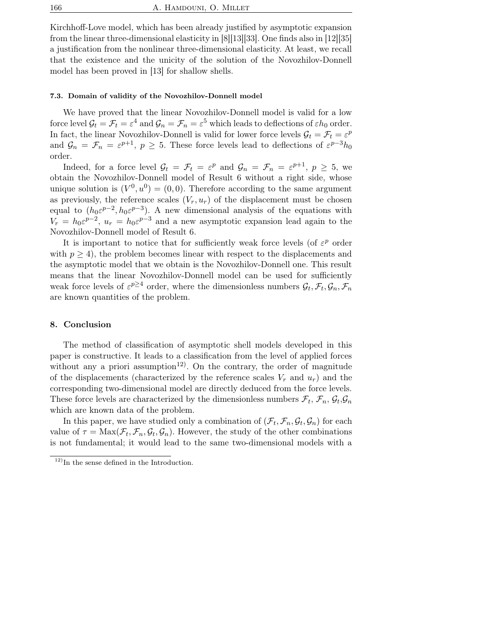Kirchhoff-Love model, which has been already justified by asymptotic expansion from the linear three-dimensional elasticity in [8][13][33]. One finds also in [12][35] a justification from the nonlinear three-dimensional elasticity. At least, we recall that the existence and the unicity of the solution of the Novozhilov-Donnell model has been proved in [13] for shallow shells.

### 7.3. Domain of validity of the Novozhilov-Donnell model

We have proved that the linear Novozhilov-Donnell model is valid for a low force level  $\mathcal{G}_t = \mathcal{F}_t = \varepsilon^4$  and  $\mathcal{G}_n = \mathcal{F}_n = \varepsilon^5$  which leads to deflections of  $\varepsilon h_0$  order. In fact, the linear Novozhilov-Donnell is valid for lower force levels  $\mathcal{G}_t = \mathcal{F}_t = \varepsilon^p$ and  $\mathcal{G}_n = \mathcal{F}_n = \varepsilon^{p+1}, p \ge 5$ . These force levels lead to deflections of  $\varepsilon^{p-3}h_0$ order.

Indeed, for a force level  $\mathcal{G}_t = \mathcal{F}_t = \varepsilon^p$  and  $\mathcal{G}_n = \mathcal{F}_n = \varepsilon^{p+1}$ ,  $p \geq 5$ , we obtain the Novozhilov-Donnell model of Result 6 without a right side, whose unique solution is  $(V^0, u^0) = (0, 0)$ . Therefore according to the same argument as previously, the reference scales  $(V_r, u_r)$  of the displacement must be chosen equal to  $(h_0 \varepsilon^{p-2}, h_0 \varepsilon^{p-3})$ . A new dimensional analysis of the equations with  $V_r = h_0 \varepsilon^{p-2}$ ,  $u_r = h_0 \varepsilon^{p-3}$  and a new asymptotic expansion lead again to the Novozhilov-Donnell model of Result 6.

It is important to notice that for sufficiently weak force levels (of  $\varepsilon^p$  order with  $p \geq 4$ , the problem becomes linear with respect to the displacements and the asymptotic model that we obtain is the Novozhilov-Donnell one. This result means that the linear Novozhilov-Donnell model can be used for sufficiently weak force levels of  $\varepsilon^{p\geq 4}$  order, where the dimensionless numbers  $\mathcal{G}_t$ ,  $\mathcal{F}_t$ ,  $\mathcal{G}_n$ ,  $\mathcal{F}_n$ are known quantities of the problem.

## 8. Conclusion

The method of classification of asymptotic shell models developed in this paper is constructive. It leads to a classification from the level of applied forces without any a priori assumption<sup>12</sup>. On the contrary, the order of magnitude of the displacements (characterized by the reference scales  $V_r$  and  $u_r$ ) and the corresponding two-dimensional model are directly deduced from the force levels. These force levels are characterized by the dimensionless numbers  $\mathcal{F}_t$ ,  $\mathcal{F}_n$ ,  $\mathcal{G}_t$ ,  $\mathcal{G}_n$ which are known data of the problem.

In this paper, we have studied only a combination of  $(\mathcal{F}_t, \mathcal{F}_n, \mathcal{G}_t, \mathcal{G}_n)$  for each value of  $\tau = \text{Max}(\mathcal{F}_t, \mathcal{F}_n, \mathcal{G}_t, \mathcal{G}_n)$ . However, the study of the other combinations is not fundamental; it would lead to the same two-dimensional models with a

 $12)$ In the sense defined in the Introduction.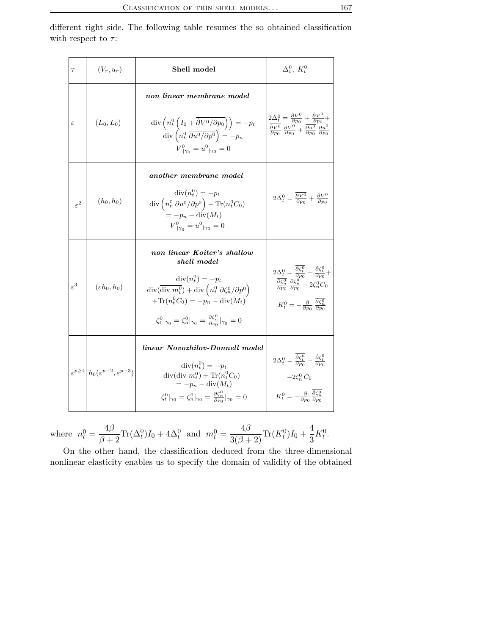different right side. The following table resumes the so obtained classification with respect to  $\tau$ :

| $\tau$          | $(V_r, u_r)$                                                      | Shell model                                                                                                                                                                                                                                                                                                                                                                     | $\Delta_t^0$ , $K_t^0$                                                                                                                                                                                                                                                                                                       |
|-----------------|-------------------------------------------------------------------|---------------------------------------------------------------------------------------------------------------------------------------------------------------------------------------------------------------------------------------------------------------------------------------------------------------------------------------------------------------------------------|------------------------------------------------------------------------------------------------------------------------------------------------------------------------------------------------------------------------------------------------------------------------------------------------------------------------------|
| $\varepsilon$   | $(L_0, L_0)$                                                      | non linear membrane model<br>$\mathrm{div}\left(n_t^0\left(I_0+\hat{\partial}V^0/\partial p_0\right)\right)=-p_t$<br>$\operatorname{div}\left(n_t^0 \overline{\frac{\partial u^0}{\partial p^0}}\right) = -p_n$<br>$V^0_{\perp 20} = u^0_{\perp 20} = 0$                                                                                                                        | $2\Delta_t^0 = \frac{\hat{\partial}V^0}{\partial p_0} + \frac{\hat{\partial}V^0}{\partial p_0} +$<br>$\frac{\partial V^0}{\partial p_0} \frac{\partial V^0}{\partial p_0} + \frac{\partial u^0}{\partial p_0} \frac{\partial u^0}{\partial p_0}$                                                                             |
| $\varepsilon^2$ | $(h_0, h_0)$                                                      | another membrane model<br>$\text{div}(n_t^0) = -p_t$<br>div $\left(n_t^0 \frac{\partial u^0}{\partial n^0} \right) + \text{Tr}(n_t^0 C_0)$<br>$=-p_n - \text{div}(M_t)$<br>$V^0_{ \gamma_0} = u^0_{ \gamma_0} = 0$                                                                                                                                                              | $2\Delta_t^0 = \frac{\hat{\partial}V^0}{\partial p_0} + \frac{\hat{\partial}V^0}{\partial p_0}$                                                                                                                                                                                                                              |
| $\varepsilon^3$ | $(\varepsilon h_0, h_0)$                                          | non linear Koiter's shallow<br>shell model<br>$\operatorname{div}(n_t^0) = -p_t$<br>$\mathrm{div}(\overline{\mathrm{div}\,\,m_t^0}) + \mathrm{div}\left(n_t^0\;\overline{\partial\zeta_n^0/\partial p^0}\right)$<br>$+{\rm Tr}(n_t^0 C_0) = -p_n - {\rm div}(M_t)$<br>$\zeta_t^0 _{\gamma_0} = \zeta_n^0 _{\gamma_0} = \frac{\partial \zeta_n^0}{\partial u_0} _{\gamma_0} = 0$ | $2\Delta_t^0 = \frac{\hat{\partial}\zeta_t^0}{\partial p_0} + \frac{\hat{\partial}\zeta_t^0}{\partial p_0} +$<br>$\frac{\overline{\partial\zeta_n^0}}{\partial p_0}\,\frac{\partial\zeta_n^0}{\partial p_0} - 2\zeta_n^0C_0$<br>$K_t^0 = -\frac{\hat{\partial}}{\partial p_0} \frac{\hat{\partial} \zeta_n^0}{\partial p_0}$ |
|                 | $\varepsilon^{p\geq 4} h_0(\varepsilon^{p-2}, \varepsilon^{p-3})$ | linear Novozhilov-Donnell model<br>$\operatorname{div}(n_t^0) = -p_t$<br>$\operatorname{div}(\overline{\operatorname{div} m_t^0}) + \operatorname{Tr}(n_t^0 C_0)$<br>$=-p_n - \text{div}(M_t)$<br>$\zeta_t^0 _{\gamma_0} = \zeta_n^0 _{\gamma_0} = \frac{\partial \zeta_n^0}{\partial \nu_0} _{\gamma_0} = 0$                                                                   | $2\Delta_t^0 = \frac{\hat{\partial}\zeta_t^0}{\partial p_0} + \frac{\hat{\partial}\zeta_t^0}{\partial p_0}$<br>$-2\zeta_n^0 C_0$<br>$K_t^0 = -\frac{\hat{\partial}}{\partial p_0} \frac{\hat{\partial} \zeta_n^0}{\partial p_0}$                                                                                             |

where 
$$
n_t^0 = \frac{4\beta}{\beta+2} \text{Tr}(\Delta_t^0) I_0 + 4\Delta_t^0
$$
 and  $m_t^0 = \frac{4\beta}{3(\beta+2)} \text{Tr}(K_t^0) I_0 + \frac{4}{3} K_t^0$ .

On the other hand, the classification deduced from the three-dimensional nonlinear elasticity enables us to specify the domain of validity of the obtained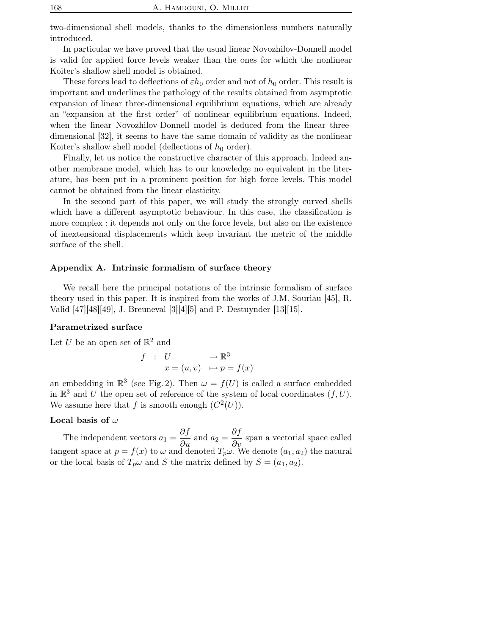two-dimensional shell models, thanks to the dimensionless numbers naturally introduced.

In particular we have proved that the usual linear Novozhilov-Donnell model is valid for applied force levels weaker than the ones for which the nonlinear Koiter's shallow shell model is obtained.

These forces lead to deflections of  $\varepsilon h_0$  order and not of  $h_0$  order. This result is important and underlines the pathology of the results obtained from asymptotic expansion of linear three-dimensional equilibrium equations, which are already an "expansion at the first order" of nonlinear equilibrium equations. Indeed, when the linear Novozhilov-Donnell model is deduced from the linear threedimensional [32], it seems to have the same domain of validity as the nonlinear Koiter's shallow shell model (deflections of  $h_0$  order).

Finally, let us notice the constructive character of this approach. Indeed another membrane model, which has to our knowledge no equivalent in the literature, has been put in a prominent position for high force levels. This model cannot be obtained from the linear elasticity.

In the second part of this paper, we will study the strongly curved shells which have a different asymptotic behaviour. In this case, the classification is more complex : it depends not only on the force levels, but also on the existence of inextensional displacements which keep invariant the metric of the middle surface of the shell.

## Appendix A. Intrinsic formalism of surface theory

We recall here the principal notations of the intrinsic formalism of surface theory used in this paper. It is inspired from the works of J.M. Souriau [45], R. Valid [47][48][49], J. Breuneval [3][4][5] and P. Destuynder [13][15].

## Parametrized surface

Let U be an open set of  $\mathbb{R}^2$  and

$$
f : U \longrightarrow \mathbb{R}^3
$$
  

$$
x = (u, v) \longrightarrow p = f(x)
$$

an embedding in  $\mathbb{R}^3$  (see Fig. 2). Then  $\omega = f(U)$  is called a surface embedded in  $\mathbb{R}^3$  and U the open set of reference of the system of local coordinates  $(f, U)$ . We assume here that f is smooth enough  $(C^2(U))$ .

### Local basis of  $\omega$

The independent vectors  $a_1 = \frac{\partial f}{\partial x}$  $\frac{\partial f}{\partial u}$  and  $a_2 = \frac{\partial f}{\partial v}$  $\frac{\partial y}{\partial v}$  span a vectorial space called tangent space at  $p = f(x)$  to  $\omega$  and denoted  $T_p \omega$ . We denote  $(a_1, a_2)$  the natural or the local basis of  $T_p\omega$  and S the matrix defined by  $S = (a_1, a_2)$ .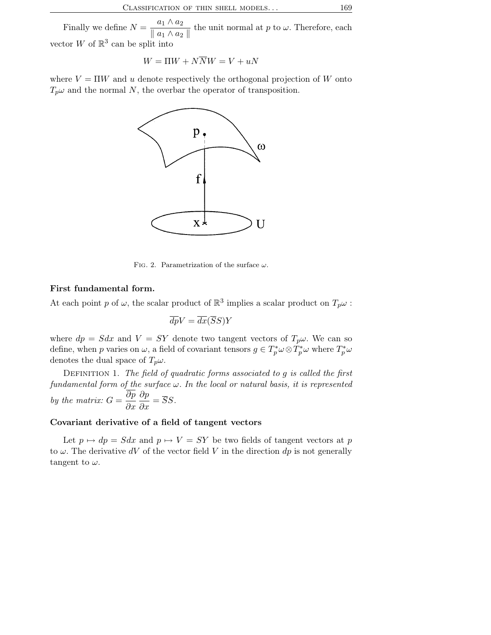Finally we define  $N = \frac{a_1 \wedge a_2}{\sqrt{a_1 \wedge a_2}}$  $\frac{a_1 \cdots a_2}{\|a_1 \wedge a_2\|}$  the unit normal at p to  $\omega$ . Therefore, each vector W of  $\mathbb{R}^3$  can be split into

$$
W = \Pi W + N\overline{N}W = V + uN
$$

where  $V = \Pi W$  and u denote respectively the orthogonal projection of W onto  $T_p\omega$  and the normal N, the overbar the operator of transposition.



FIG. 2. Parametrization of the surface  $\omega$ .

## First fundamental form.

At each point p of  $\omega$ , the scalar product of  $\mathbb{R}^3$  implies a scalar product on  $T_p\omega$ :

$$
\overline{dp}V = \overline{dx}(\overline{S}S)Y
$$

where  $dp = Sdx$  and  $V = SY$  denote two tangent vectors of  $T_p\omega$ . We can so define, when p varies on  $\omega$ , a field of covariant tensors  $g \in T_p^* \omega \otimes T_p^* \omega$  where  $T_p^* \omega$ denotes the dual space of  $T_p\omega$ .

DEFINITION 1. The field of quadratic forms associated to  $g$  is called the first fundamental form of the surface  $\omega$ . In the local or natural basis, it is represented by the matrix:  $G = \frac{\partial p}{\partial x}$  $\partial x$ ∂p  $\frac{\partial P}{\partial x} = SS.$ 

## Covariant derivative of a field of tangent vectors

Let  $p \mapsto dp = Sdx$  and  $p \mapsto V = SY$  be two fields of tangent vectors at p to  $\omega$ . The derivative dV of the vector field V in the direction dp is not generally tangent to  $\omega$ .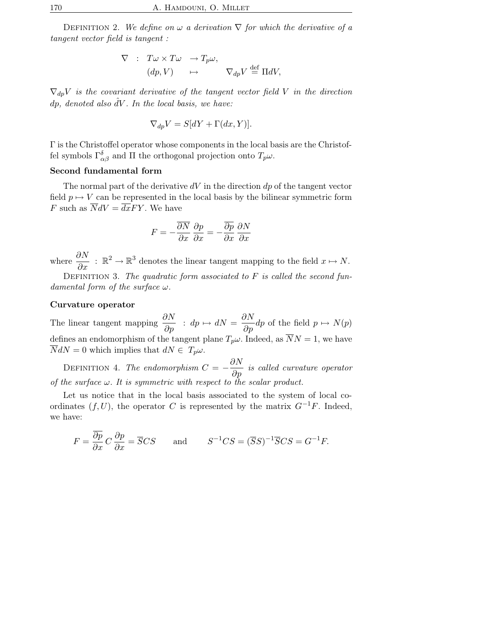DEFINITION 2. We define on  $\omega$  a derivation  $\nabla$  for which the derivative of a tangent vector field is tangent :

$$
\nabla : T\omega \times T\omega \to T_p\omega,
$$
  
\n $(dp, V) \mapsto \nabla_{dp} V \stackrel{\text{def}}{=} \Pi dV,$ 

 $\nabla_{dp}V$  is the covariant derivative of the tangent vector field V in the direction dp, denoted also  $\partial V$ . In the local basis, we have:

$$
\nabla_{dp} V = S[dY + \Gamma(dx, Y)].
$$

Γ is the Christoffel operator whose components in the local basis are the Christoffel symbols  $\Gamma_{\alpha\beta}^{\delta}$  and  $\Pi$  the orthogonal projection onto  $T_p\omega$ .

## Second fundamental form

The normal part of the derivative  $dV$  in the direction  $dp$  of the tangent vector field  $p \mapsto V$  can be represented in the local basis by the bilinear symmetric form F such as  $\overline{N}dV = \overline{dx}FY$ . We have

$$
F = -\frac{\overline{\partial N}}{\partial x}\frac{\partial p}{\partial x} = -\frac{\overline{\partial p}}{\partial x}\frac{\partial N}{\partial x}
$$

where  $\frac{\partial N}{\partial x}$ :  $\mathbb{R}^2 \to \mathbb{R}^3$  denotes the linear tangent mapping to the field  $x \mapsto N$ .

DEFINITION 3. The quadratic form associated to  $F$  is called the second fundamental form of the surface  $\omega$ .

## Curvature operator

The linear tangent mapping  $\frac{\partial N}{\partial \rho}$  $\frac{\partial N}{\partial p}$  :  $dp \mapsto dN = \frac{\partial N}{\partial p}$  $\frac{\partial P}{\partial p}dp$  of the field  $p \mapsto N(p)$ defines an endomorphism of the tangent plane  $T_p\omega$ . Indeed, as  $\overline{N}N=1$ , we have  $\overline{N}dN = 0$  which implies that  $dN \in T_p \omega$ .

DEFINITION 4. The endomorphism  $C = -\frac{\partial N}{\partial \rho}$  $\frac{\partial P}{\partial p}$  is called curvature operator of the surface  $\omega$ . It is symmetric with respect to the scalar product.

Let us notice that in the local basis associated to the system of local coordinates  $(f, U)$ , the operator C is represented by the matrix  $G^{-1}F$ . Indeed, we have:

$$
F = \frac{\partial p}{\partial x} C \frac{\partial p}{\partial x} = \overline{S}CS \quad \text{and} \quad S^{-1}CS = (\overline{S}S)^{-1}\overline{S}CS = G^{-1}F.
$$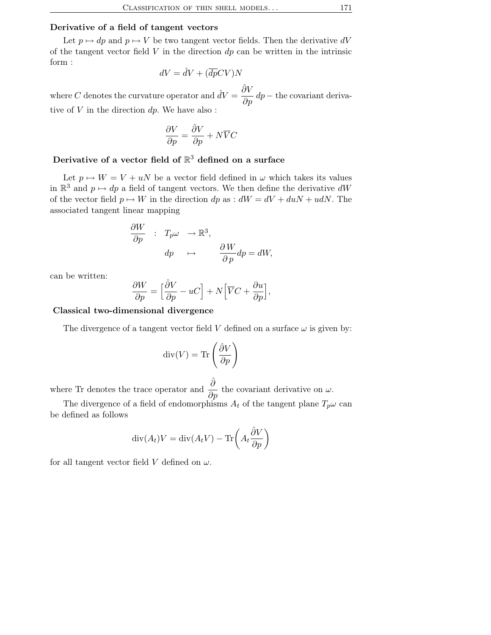## Derivative of a field of tangent vectors

Let  $p \mapsto dp$  and  $p \mapsto V$  be two tangent vector fields. Then the derivative dV of the tangent vector field  $V$  in the direction  $dp$  can be written in the intrinsic form :

$$
dV = \hat{d}V + (\overline{dp}CV)N
$$

where C denotes the curvature operator and  $\hat{d}V = \frac{\hat{\partial}V}{\partial x}$  $\frac{\partial \mathbf{p}}{\partial p} dp$  – the covariant derivative of  $\bar{V}$  in the direction  $dp.$  We have also :

$$
\frac{\partial V}{\partial p} = \frac{\hat{\partial} V}{\partial p} + N \overline{V} C
$$

# Derivative of a vector field of  $\mathbb{R}^3$  defined on a surface

Let  $p \mapsto W = V + uN$  be a vector field defined in  $\omega$  which takes its values in  $\mathbb{R}^3$  and  $p \mapsto dp$  a field of tangent vectors. We then define the derivative  $dW$ of the vector field  $p \mapsto W$  in the direction dp as :  $dW = dV + duN + udN$ . The associated tangent linear mapping

$$
\frac{\partial W}{\partial p} : T_p \omega \to \mathbb{R}^3,
$$
  
\n
$$
dp \mapsto \frac{\partial W}{\partial p} dp = dW,
$$

can be written:

$$
\frac{\partial W}{\partial p} = \left[\frac{\partial V}{\partial p} - uC\right] + N\left[\overline{V}C + \frac{\partial u}{\partial p}\right],
$$

### Classical two-dimensional divergence

The divergence of a tangent vector field V defined on a surface  $\omega$  is given by:

$$
\operatorname{div}(V) = \operatorname{Tr}\left(\frac{\partial V}{\partial p}\right)
$$

where Tr denotes the trace operator and  $\frac{\hat{\partial}}{\partial p}$  the covariant derivative on  $\omega$ .

The divergence of a field of endomorphisms  $A_t$  of the tangent plane  $T_p\omega$  can be defined as follows

$$
\operatorname{div}(A_t)V = \operatorname{div}(A_tV) - \operatorname{Tr}\left(A_t\frac{\hat{\partial}V}{\partial p}\right)
$$

for all tangent vector field V defined on  $\omega$ .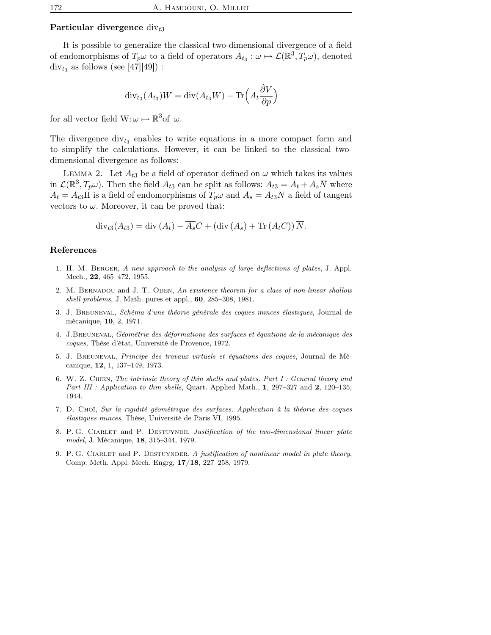## Particular divergence  $div_{3}$

It is possible to generalize the classical two-dimensional divergence of a field of endomorphisms of  $T_p\omega$  to a field of operators  $A_{t_3}: \omega \mapsto \mathcal{L}(\mathbb{R}^3, T_p\omega)$ , denoted  $\text{div}_{t_3}$  as follows (see [47][49]) :

$$
\mathrm{div}_{t_3}(A_{t_3})W = \mathrm{div}(A_{t_3}W) - \mathrm{Tr}\Big(A_t\frac{\hat{\partial}V}{\partial p}\Big)
$$

for all vector field  $W: \omega \mapsto \mathbb{R}^3$  of  $\omega$ .

The divergence  $div_{t_3}$  enables to write equations in a more compact form and to simplify the calculations. However, it can be linked to the classical twodimensional divergence as follows:

LEMMA 2. Let  $A_{t3}$  be a field of operator defined on  $\omega$  which takes its values in  $\mathcal{L}(\mathbb{R}^3, T_p\omega)$ . Then the field  $A_{t3}$  can be split as follows:  $A_{t3} = A_t + A_s\overline{N}$  where  $A_t = A_{t3} \Pi$  is a field of endomorphisms of  $T_p \omega$  and  $A_s = A_{t3} N$  a field of tangent vectors to  $\omega$ . Moreover, it can be proved that:

$$
\operatorname{div}_{t3}(A_{t3}) = \operatorname{div}(A_t) - \overline{A_s}C + (\operatorname{div}(A_s) + \operatorname{Tr}(A_tC))\overline{N}.
$$

## References

- 1. H. M. Berger, A new approach to the analysis of large deflections of plates, J. Appl. Mech., 22, 465–472, 1955.
- 2. M. BERNADOU and J. T. ODEN, An existence theorem for a class of non-linear shallow shell problems, J. Math. pures et appl., 60, 285–308, 1981.
- 3. J. Breuneval, Schéma d'une théorie générale des coques minces élastiques, Journal de mécanique, 10, 2, 1971.
- 4. J.Breuneval, Géométrie des déformations des surfaces et équations de la mécanique des coques, Thèse d'état, Université de Provence, 1972.
- 5. J. Breuneval, Principe des travaux virtuels et équations des coques, Journal de Mécanique, 12, 1, 137–149, 1973.
- 6. W. Z. Chien, The intrinsic theory of thin shells and plates. Part I : General theory and Part III : Application to thin shells, Quart. Applied Math.,  $1, 297-327$  and  $2, 120-135$ , 1944.
- 7. D. Choï, Sur la rigidité géométrique des surfaces. Application à la théorie des coques élastiques minces, Thèse, Université de Paris VI, 1995.
- 8. P. G. CIARLET and P. DESTUYNDE, Justification of the two-dimensional linear plate model, J. Mécanique, 18, 315–344, 1979.
- 9. P. G. CIARLET and P. DESTUYNDER, A justification of nonlinear model in plate theory, Comp. Meth. Appl. Mech. Engrg, 17/18, 227–258, 1979.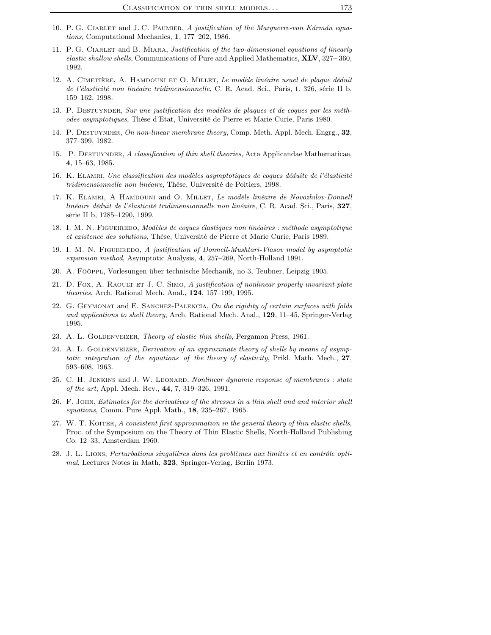- 10. P. G. CIARLET and J. C. PAUMIER, A justification of the Marguerre-von Kármán equations, Computational Mechanics, 1, 177–202, 1986.
- 11. P. G. CIARLET and B. MIARA, Justification of the two-dimensional equations of linearly elastic shallow shells, Communications of Pure and Applied Mathematics, **XLV**, 327–360, 1992.
- 12. A. CIMETIÈRE, A. HAMDOUNI ET O. MILLET, Le modèle linéaire usuel de plaque déduit de l'élasticité non linéaire tridimensionnelle, C. R. Acad. Sci., Paris, t. 326, série II b, 159–162, 1998.
- 13. P. DESTUYNDER, Sur une justification des modèles de plaques et de coques par les méthodes asymptotiques, Thèse d'Etat, Université de Pierre et Marie Curie, Paris 1980.
- 14. P. DESTUYNDER, On non-linear membrane theory, Comp. Meth. Appl. Mech. Engrg., 32, 377–399, 1982.
- 15. P. DESTUYNDER, A classification of thin shell theories, Acta Applicandae Mathematicae, 4, 15–63, 1985.
- 16. K. Elamri, Une classification des modèles asymptotiques de coques déduite de l'élasticité tridimensionnelle non linéaire, Thèse, Université de Poitiers, 1998.
- 17. K. ELAMRI, A HAMDOUNI and O. MILLET, Le modèle linéaire de Novozhilov-Donnell linéaire déduit de l'élasticité tridimensionnelle non linéaire, C. R. Acad. Sci., Paris, 327, série II b, 1285–1290, 1999.
- 18. I. M. N. FIGUEIREDO, Modèles de coques élastiques non linéaires : méthode asymptotique et existence des solutions, Thèse, Université de Pierre et Marie Curie, Paris 1989.
- 19. I. M. N. FIGUEIREDO, A justification of Donnell-Mushtari-Vlasov model by asymptotic expansion method, Asymptotic Analysis, 4, 257–269, North-Holland 1991.
- 20. A. Fööppl, Vorlesungen über technische Mechanik, no 3, Teubner, Leipzig 1905.
- 21. D. Fox, A. RAOULT ET J. C. SIMO, A justification of nonlinear properly invariant plate theories, Arch. Rational Mech. Anal., 124, 157–199, 1995.
- 22. G. GEYMONAT and E. SANCHEZ-PALENCIA, On the rigidity of certain surfaces with folds and applications to shell theory, Arch. Rational Mech. Anal., 129, 11–45, Springer-Verlag 1995.
- 23. A. L. GOLDENVEIZER, Theory of elastic thin shells, Pergamon Press, 1961.
- 24. A. L. GOLDENVEIZER, Derivation of an approximate theory of shells by means of asymptotic integration of the equations of the theory of elasticity, Prikl. Math. Mech., 27, 593–608, 1963.
- 25. C. H. JENKINS and J. W. LEONARD, Nonlinear dynamic response of membranes : state of the art, Appl. Mech. Rev., 44, 7, 319–326, 1991.
- 26. F. John, Estimates for the derivatives of the stresses in a thin shell and and interior shell equations, Comm. Pure Appl. Math., **18**, 235-267, 1965.
- 27. W. T. KOITER, A consistent first approximation in the general theory of thin elastic shells, Proc. of the Symposium on the Theory of Thin Elastic Shells, North-Holland Publishing Co. 12–33, Amsterdam 1960.
- 28. J. L. Lions, Perturbations singulières dans les problèmes aux limites et en contrôle optimal, Lectures Notes in Math, 323, Springer-Verlag, Berlin 1973.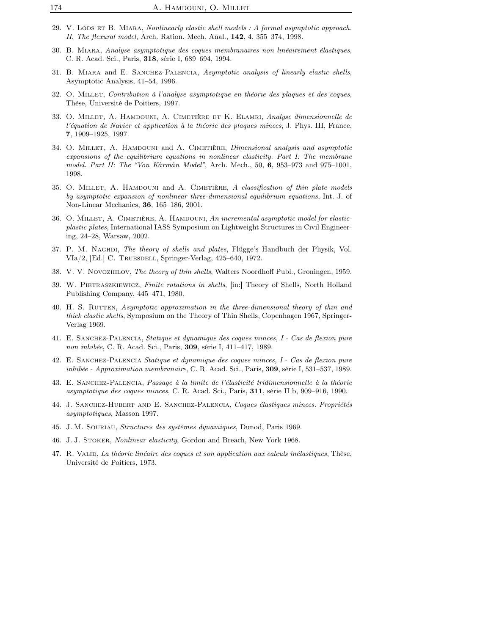- 29. V. LODS ET B. MIARA, Nonlinearly elastic shell models : A formal asymptotic approach. II. The flexural model, Arch. Ration. Mech. Anal., 142, 4, 355–374, 1998.
- 30. B. Miara, Analyse asymptotique des coques membranaires non linéairement élastiques, C. R. Acad. Sci., Paris, 318, série I, 689–694, 1994.
- 31. B. MIARA and E. SANCHEZ-PALENCIA, Asymptotic analysis of linearly elastic shells, Asymptotic Analysis, 41–54, 1996.
- 32. O. Millet, Contribution à l'analyse asymptotique en théorie des plaques et des coques, Thèse, Université de Poitiers, 1997.
- 33. O. Millet, A. Hamdouni, A. Cimetière et K. Elamri, Analyse dimensionnelle de l'équation de Navier et application à la théorie des plaques minces, J. Phys. III, France, 7, 1909–1925, 1997.
- 34. O. MILLET, A. HAMDOUNI and A. CIMETIÈRE, *Dimensional analysis and asymptotic* expansions of the equilibrium equations in nonlinear elasticity. Part I: The membrane model. Part II: The "Von Kármán Model", Arch. Mech., 50,  $6$ , 953-973 and 975-1001, 1998.
- 35. O. MILLET, A. HAMDOUNI and A. CIMETIÈRE, A classification of thin plate models by asymptotic expansion of nonlinear three-dimensional equilibrium equations, Int. J. of Non-Linear Mechanics, 36, 165–186, 2001.
- 36. O. MILLET, A. CIMETIÈRE, A. HAMDOUNI, An incremental asymptotic model for elasticplastic plates, International IASS Symposium on Lightweight Structures in Civil Engineering, 24–28, Warsaw, 2002.
- 37. P. M. NAGHDI, The theory of shells and plates, Flügge's Handbuch der Physik, Vol. VIa/2, [Ed.] C. Truesdell, Springer-Verlag, 425–640, 1972.
- 38. V. V. Novozhilov, The theory of thin shells, Walters Noordhoff Publ., Groningen, 1959.
- 39. W. Pietraszkiewicz, Finite rotations in shells, [in:] Theory of Shells, North Holland Publishing Company, 445–471, 1980.
- 40. H. S. RUTTEN, *Asymptotic approximation in the three-dimensional theory of thin and* thick elastic shells, Symposium on the Theory of Thin Shells, Copenhagen 1967, Springer-Verlag 1969.
- 41. E. Sanchez-Palencia, Statique et dynamique des coques minces, I Cas de flexion pure non inhibée, C. R. Acad. Sci., Paris, 309, série I, 411–417, 1989.
- 42. E. Sanchez-Palencia Statique et dynamique des coques minces, I Cas de flexion pure inhibée - Approximation membranaire, C. R. Acad. Sci., Paris, 309, série I, 531–537, 1989.
- 43. E. Sanchez-Palencia, Passage à la limite de l'élasticité tridimensionnelle à la théorie asymptotique des coques minces, C. R. Acad. Sci., Paris, 311, série II b, 909–916, 1990.
- 44. J. Sanchez-Hubert and E. Sanchez-Palencia, Coques élastiques minces. Propriétés asymptotiques, Masson 1997.
- 45. J. M. Souriau, Structures des systèmes dynamiques, Dunod, Paris 1969.
- 46. J. J. Stoker, Nonlinear elasticity, Gordon and Breach, New York 1968.
- 47. R. VALID, La théorie linéaire des coques et son application aux calculs inélastiques, Thèse, Université de Poitiers, 1973.